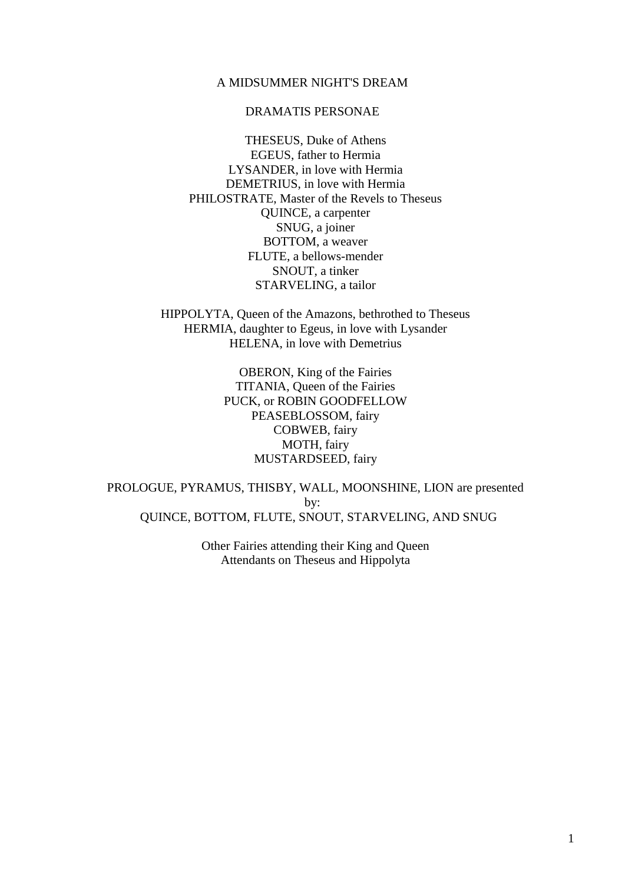# A MIDSUMMER NIGHT'S DREAM

# DRAMATIS PERSONAE

 THESEUS, Duke of Athens EGEUS, father to Hermia LYSANDER, in love with Hermia DEMETRIUS, in love with Hermia PHILOSTRATE, Master of the Revels to Theseus QUINCE, a carpenter SNUG, a joiner BOTTOM, a weaver FLUTE, a bellows-mender SNOUT, a tinker STARVELING, a tailor

 HIPPOLYTA, Queen of the Amazons, bethrothed to Theseus HERMIA, daughter to Egeus, in love with Lysander HELENA, in love with Demetrius

> OBERON, King of the Fairies TITANIA, Queen of the Fairies PUCK, or ROBIN GOODFELLOW PEASEBLOSSOM, fairy COBWEB, fairy MOTH, fairy MUSTARDSEED, fairy

 PROLOGUE, PYRAMUS, THISBY, WALL, MOONSHINE, LION are presented by: QUINCE, BOTTOM, FLUTE, SNOUT, STARVELING, AND SNUG

> Other Fairies attending their King and Queen Attendants on Theseus and Hippolyta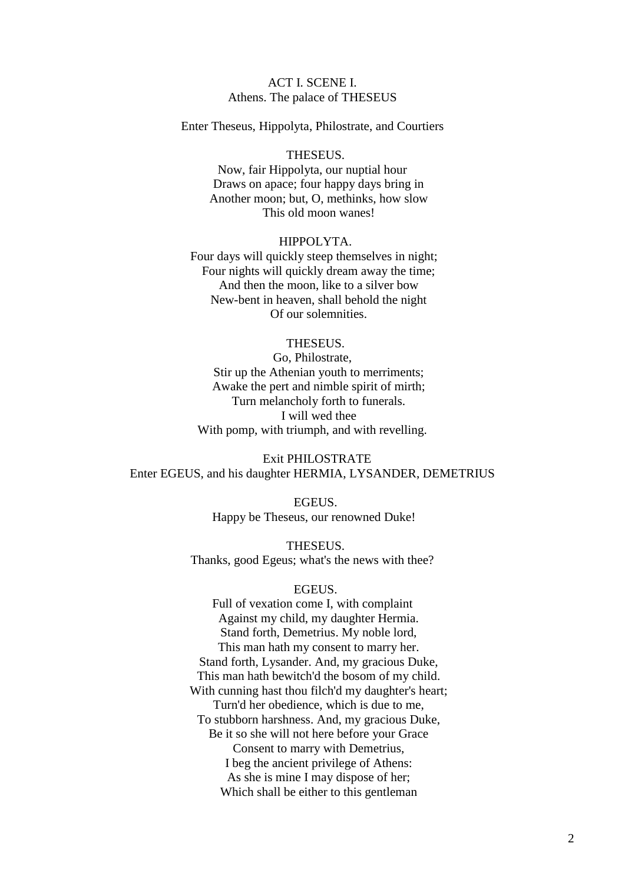# ACT I. SCENE I. Athens. The palace of THESEUS

Enter Theseus, Hippolyta, Philostrate, and Courtiers

# THESEUS.

Now, fair Hippolyta, our nuptial hour Draws on apace; four happy days bring in Another moon; but, O, methinks, how slow This old moon wanes!

#### HIPPOLYTA.

Four days will quickly steep themselves in night; Four nights will quickly dream away the time; And then the moon, like to a silver bow New-bent in heaven, shall behold the night Of our solemnities.

# THESEUS.

Go, Philostrate, Stir up the Athenian youth to merriments; Awake the pert and nimble spirit of mirth; Turn melancholy forth to funerals. I will wed thee With pomp, with triumph, and with revelling.

 Exit PHILOSTRATE Enter EGEUS, and his daughter HERMIA, LYSANDER, DEMETRIUS

> EGEUS. Happy be Theseus, our renowned Duke!

 THESEUS. Thanks, good Egeus; what's the news with thee?

#### EGEUS.

Full of vexation come I, with complaint Against my child, my daughter Hermia. Stand forth, Demetrius. My noble lord, This man hath my consent to marry her. Stand forth, Lysander. And, my gracious Duke, This man hath bewitch'd the bosom of my child. With cunning hast thou filch'd my daughter's heart; Turn'd her obedience, which is due to me, To stubborn harshness. And, my gracious Duke, Be it so she will not here before your Grace Consent to marry with Demetrius, I beg the ancient privilege of Athens: As she is mine I may dispose of her; Which shall be either to this gentleman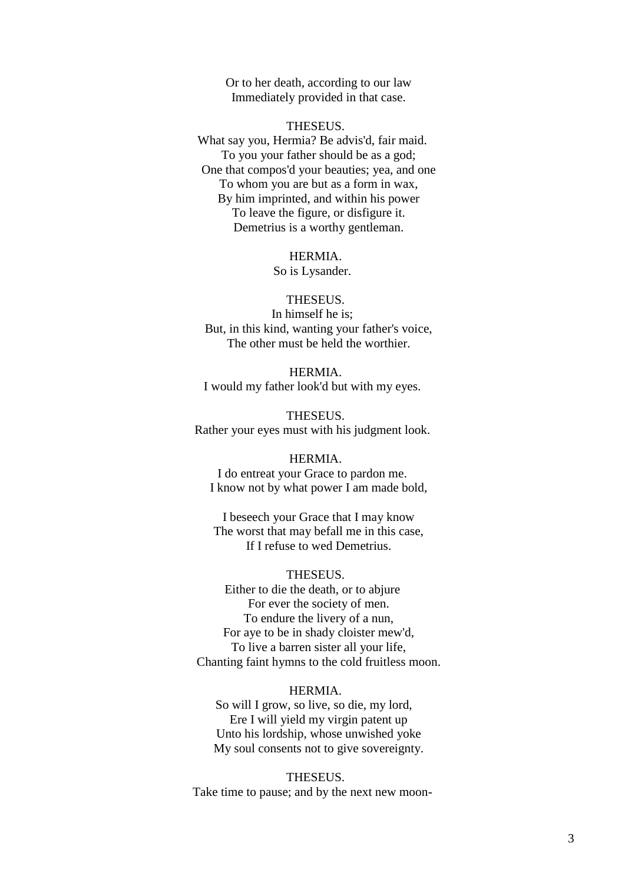Or to her death, according to our law Immediately provided in that case.

#### THESEUS.

What say you, Hermia? Be advis'd, fair maid. To you your father should be as a god; One that compos'd your beauties; yea, and one To whom you are but as a form in wax, By him imprinted, and within his power To leave the figure, or disfigure it. Demetrius is a worthy gentleman.

#### HERMIA.

So is Lysander.

#### THESEUS.

In himself he is; But, in this kind, wanting your father's voice, The other must be held the worthier.

 HERMIA. I would my father look'd but with my eyes.

 THESEUS. Rather your eyes must with his judgment look.

#### HERMIA.

I do entreat your Grace to pardon me. I know not by what power I am made bold,

 I beseech your Grace that I may know The worst that may befall me in this case, If I refuse to wed Demetrius.

# THESEUS.

Either to die the death, or to abjure For ever the society of men. To endure the livery of a nun, For aye to be in shady cloister mew'd, To live a barren sister all your life, Chanting faint hymns to the cold fruitless moon.

# HERMIA.

So will I grow, so live, so die, my lord, Ere I will yield my virgin patent up Unto his lordship, whose unwished yoke My soul consents not to give sovereignty.

 THESEUS. Take time to pause; and by the next new moon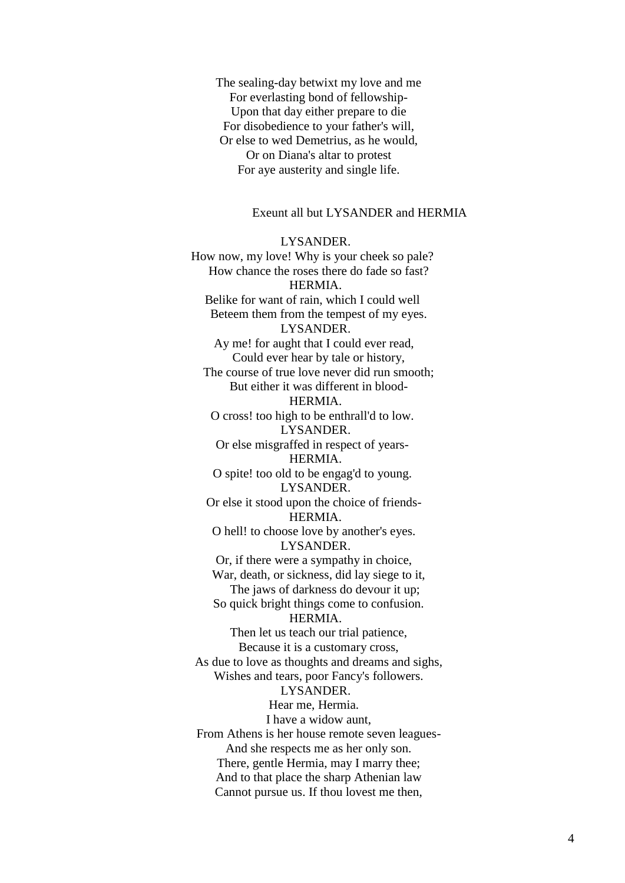The sealing-day betwixt my love and me For everlasting bond of fellowship- Upon that day either prepare to die For disobedience to your father's will, Or else to wed Demetrius, as he would, Or on Diana's altar to protest For aye austerity and single life.

# Exeunt all but LYSANDER and HERMIA

 LYSANDER. How now, my love! Why is your cheek so pale? How chance the roses there do fade so fast? HERMIA. Belike for want of rain, which I could well Beteem them from the tempest of my eyes. LYSANDER. Ay me! for aught that I could ever read, Could ever hear by tale or history, The course of true love never did run smooth; But either it was different in blood- HERMIA. O cross! too high to be enthrall'd to low. LYSANDER. Or else misgraffed in respect of years- HERMIA. O spite! too old to be engag'd to young. LYSANDER. Or else it stood upon the choice of friends- HERMIA. O hell! to choose love by another's eyes. LYSANDER. Or, if there were a sympathy in choice, War, death, or sickness, did lay siege to it, The jaws of darkness do devour it up; So quick bright things come to confusion. HERMIA. Then let us teach our trial patience, Because it is a customary cross, As due to love as thoughts and dreams and sighs, Wishes and tears, poor Fancy's followers. LYSANDER. Hear me, Hermia. I have a widow aunt, From Athens is her house remote seven leagues- And she respects me as her only son. There, gentle Hermia, may I marry thee; And to that place the sharp Athenian law Cannot pursue us. If thou lovest me then,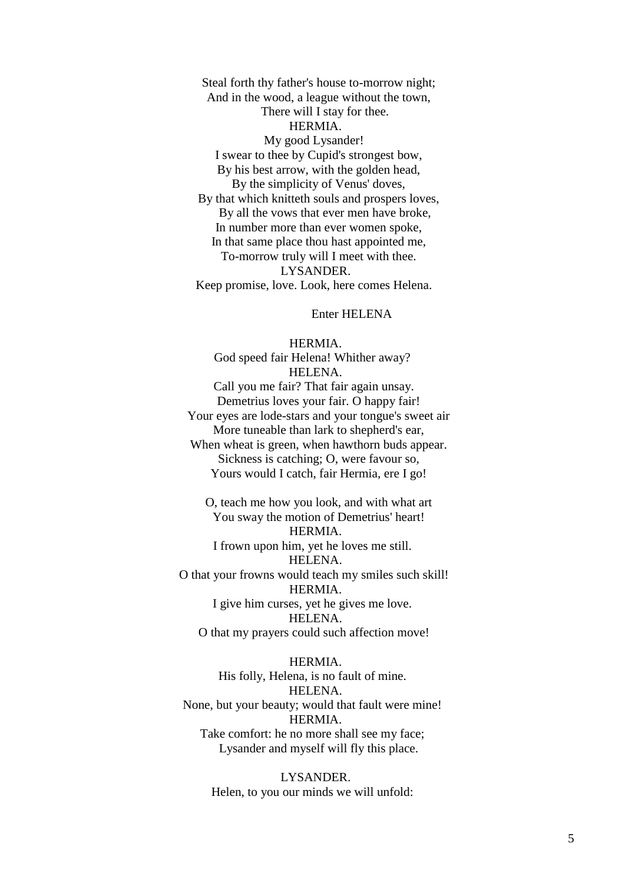Steal forth thy father's house to-morrow night; And in the wood, a league without the town, There will I stay for thee. HERMIA. My good Lysander! I swear to thee by Cupid's strongest bow, By his best arrow, with the golden head, By the simplicity of Venus' doves, By that which knitteth souls and prospers loves, By all the vows that ever men have broke, In number more than ever women spoke, In that same place thou hast appointed me, To-morrow truly will I meet with thee. LYSANDER. Keep promise, love. Look, here comes Helena.

Enter HELENA

 HERMIA. God speed fair Helena! Whither away? HELENA. Call you me fair? That fair again unsay. Demetrius loves your fair. O happy fair! Your eyes are lode-stars and your tongue's sweet air More tuneable than lark to shepherd's ear, When wheat is green, when hawthorn buds appear. Sickness is catching; O, were favour so, Yours would I catch, fair Hermia, ere I go!

 O, teach me how you look, and with what art You sway the motion of Demetrius' heart! HERMIA. I frown upon him, yet he loves me still. HELENA. O that your frowns would teach my smiles such skill! HERMIA. I give him curses, yet he gives me love. HELENA. O that my prayers could such affection move!

HERMIA.

His folly, Helena, is no fault of mine. HELENA. None, but your beauty; would that fault were mine! **HERMIA** Take comfort: he no more shall see my face; Lysander and myself will fly this place.

> LYSANDER. Helen, to you our minds we will unfold: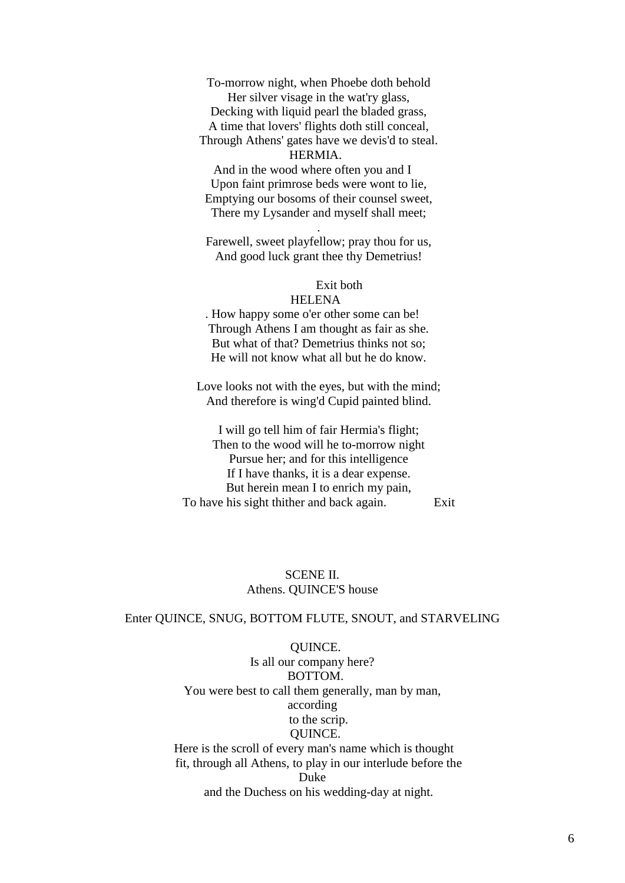To-morrow night, when Phoebe doth behold Her silver visage in the wat'ry glass, Decking with liquid pearl the bladed grass,

 A time that lovers' flights doth still conceal, Through Athens' gates have we devis'd to steal.

#### HERMIA.

And in the wood where often you and I Upon faint primrose beds were wont to lie, Emptying our bosoms of their counsel sweet, There my Lysander and myself shall meet;

 Farewell, sweet playfellow; pray thou for us, And good luck grant thee thy Demetrius!

.

## Exit both

# HELENA

. How happy some o'er other some can be! Through Athens I am thought as fair as she. But what of that? Demetrius thinks not so; He will not know what all but he do know.

 Love looks not with the eyes, but with the mind; And therefore is wing'd Cupid painted blind.

 I will go tell him of fair Hermia's flight; Then to the wood will he to-morrow night Pursue her; and for this intelligence If I have thanks, it is a dear expense. But herein mean I to enrich my pain, To have his sight thither and back again. Exit

# SCENE II. Athens. QUINCE'S house

#### Enter QUINCE, SNUG, BOTTOM FLUTE, SNOUT, and STARVELING

 QUINCE. Is all our company here? BOTTOM. You were best to call them generally, man by man, according to the scrip. QUINCE. Here is the scroll of every man's name which is thought fit, through all Athens, to play in our interlude before the Duke and the Duchess on his wedding-day at night.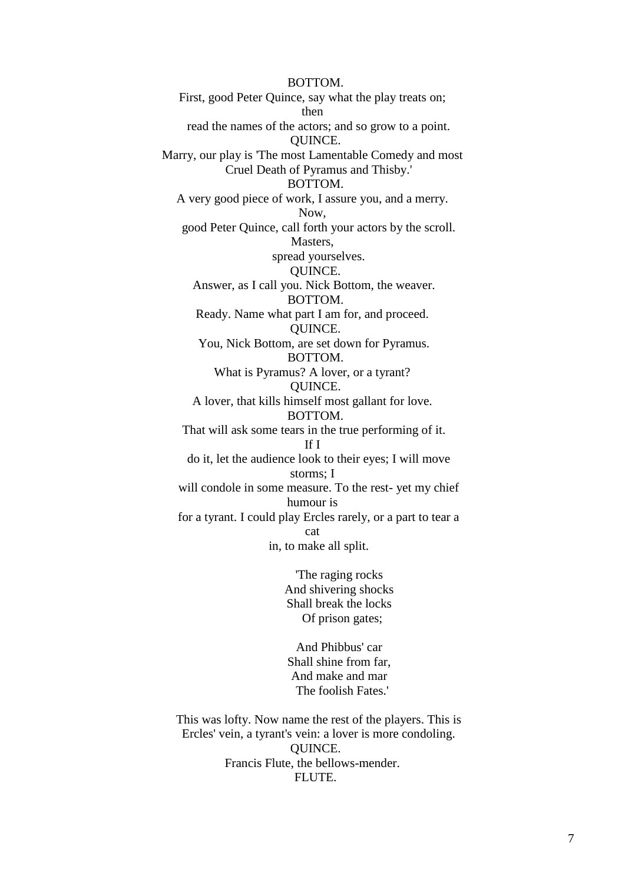BOTTOM. First, good Peter Quince, say what the play treats on; then read the names of the actors; and so grow to a point. QUINCE. Marry, our play is 'The most Lamentable Comedy and most Cruel Death of Pyramus and Thisby.' BOTTOM. A very good piece of work, I assure you, and a merry. Now, good Peter Quince, call forth your actors by the scroll. Masters, spread yourselves. QUINCE. Answer, as I call you. Nick Bottom, the weaver. BOTTOM. Ready. Name what part I am for, and proceed. QUINCE. You, Nick Bottom, are set down for Pyramus. BOTTOM. What is Pyramus? A lover, or a tyrant? QUINCE. A lover, that kills himself most gallant for love. BOTTOM. That will ask some tears in the true performing of it. If I do it, let the audience look to their eyes; I will move storms; I will condole in some measure. To the rest- yet my chief humour is for a tyrant. I could play Ercles rarely, or a part to tear a cat in, to make all split.

 'The raging rocks And shivering shocks Shall break the locks Of prison gates;

 And Phibbus' car Shall shine from far, And make and mar The foolish Fates.'

 This was lofty. Now name the rest of the players. This is Ercles' vein, a tyrant's vein: a lover is more condoling. QUINCE. Francis Flute, the bellows-mender. FLUTE.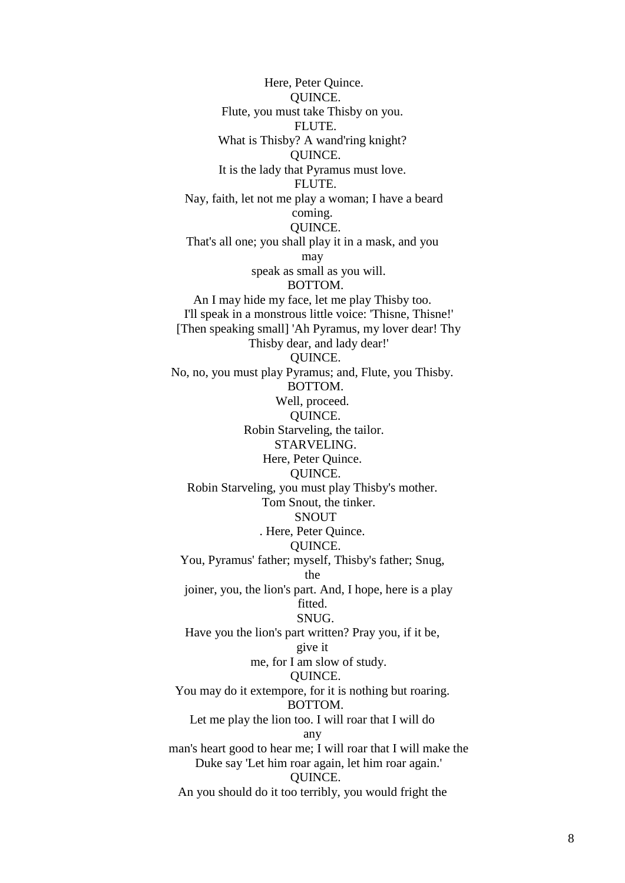Here, Peter Quince. QUINCE. Flute, you must take Thisby on you. FLUTE. What is Thisby? A wand'ring knight? QUINCE. It is the lady that Pyramus must love. FLUTE. Nay, faith, let not me play a woman; I have a beard coming. QUINCE. That's all one; you shall play it in a mask, and you may speak as small as you will. BOTTOM. An I may hide my face, let me play Thisby too. I'll speak in a monstrous little voice: 'Thisne, Thisne!' [Then speaking small] 'Ah Pyramus, my lover dear! Thy Thisby dear, and lady dear!' QUINCE. No, no, you must play Pyramus; and, Flute, you Thisby. BOTTOM. Well, proceed. QUINCE. Robin Starveling, the tailor. STARVELING. Here, Peter Quince. QUINCE. Robin Starveling, you must play Thisby's mother. Tom Snout, the tinker. SNOUT . Here, Peter Quince. QUINCE. You, Pyramus' father; myself, Thisby's father; Snug, the joiner, you, the lion's part. And, I hope, here is a play fitted. SNUG. Have you the lion's part written? Pray you, if it be, give it me, for I am slow of study. QUINCE. You may do it extempore, for it is nothing but roaring. BOTTOM. Let me play the lion too. I will roar that I will do any man's heart good to hear me; I will roar that I will make the Duke say 'Let him roar again, let him roar again.' QUINCE. An you should do it too terribly, you would fright the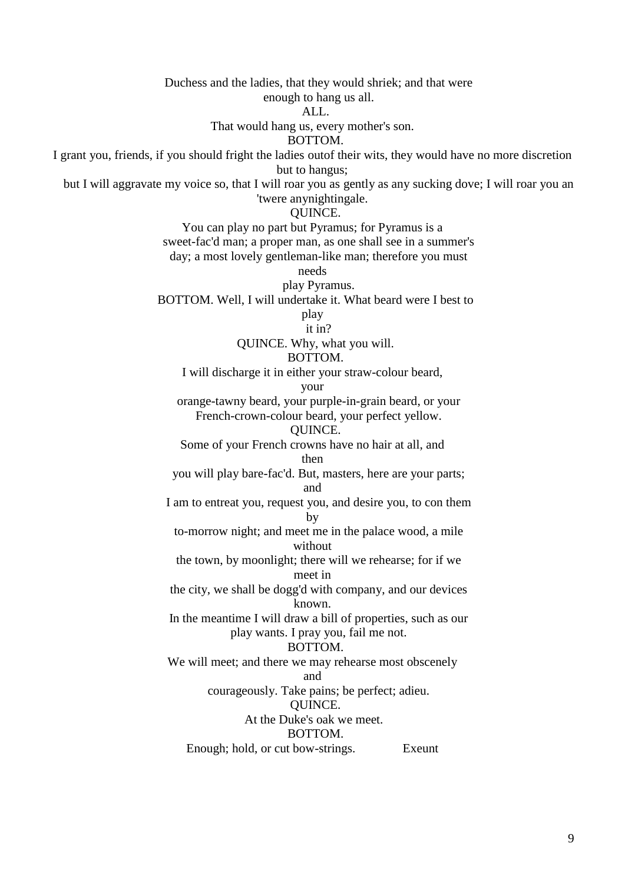Duchess and the ladies, that they would shriek; and that were enough to hang us all. ALL. That would hang us, every mother's son. BOTTOM. I grant you, friends, if you should fright the ladies outof their wits, they would have no more discretion but to hangus; but I will aggravate my voice so, that I will roar you as gently as any sucking dove; I will roar you an 'twere anynightingale. QUINCE. You can play no part but Pyramus; for Pyramus is a sweet-fac'd man; a proper man, as one shall see in a summer's day; a most lovely gentleman-like man; therefore you must needs play Pyramus. BOTTOM. Well, I will undertake it. What beard were I best to play it in? QUINCE. Why, what you will. BOTTOM. I will discharge it in either your straw-colour beard, your orange-tawny beard, your purple-in-grain beard, or your French-crown-colour beard, your perfect yellow. QUINCE. Some of your French crowns have no hair at all, and then you will play bare-fac'd. But, masters, here are your parts; and I am to entreat you, request you, and desire you, to con them by to-morrow night; and meet me in the palace wood, a mile without the town, by moonlight; there will we rehearse; for if we meet in the city, we shall be dogg'd with company, and our devices known. In the meantime I will draw a bill of properties, such as our play wants. I pray you, fail me not. BOTTOM. We will meet; and there we may rehearse most obscenely and courageously. Take pains; be perfect; adieu. QUINCE. At the Duke's oak we meet. BOTTOM. Enough; hold, or cut bow-strings. Exeunt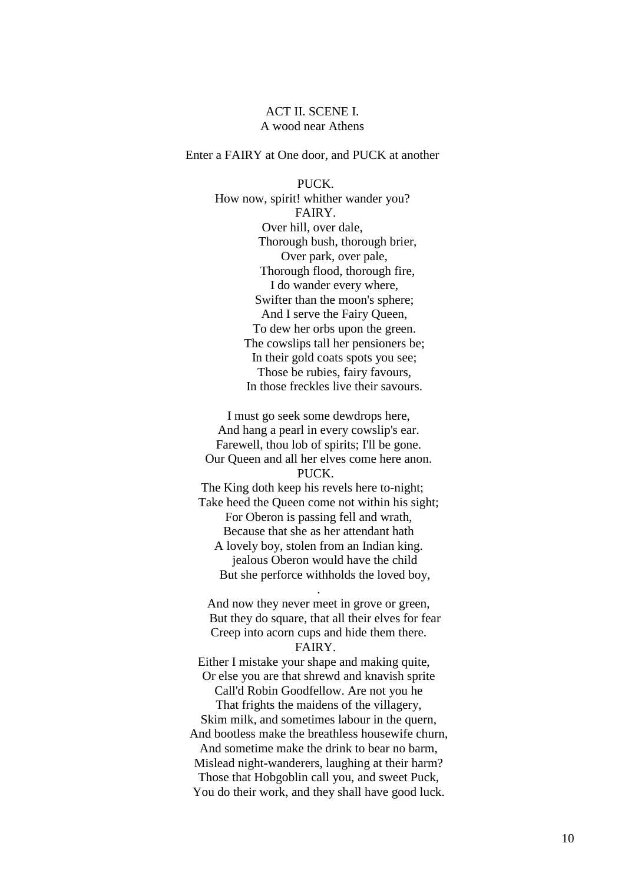# ACT II. SCENE I. A wood near Athens

# Enter a FAIRY at One door, and PUCK at another

 PUCK. How now, spirit! whither wander you? FAIRY. Over hill, over dale, Thorough bush, thorough brier, Over park, over pale, Thorough flood, thorough fire, I do wander every where, Swifter than the moon's sphere; And I serve the Fairy Queen, To dew her orbs upon the green. The cowslips tall her pensioners be; In their gold coats spots you see; Those be rubies, fairy favours, In those freckles live their savours.

 I must go seek some dewdrops here, And hang a pearl in every cowslip's ear. Farewell, thou lob of spirits; I'll be gone. Our Queen and all her elves come here anon. PUCK. The King doth keep his revels here to-night; Take heed the Queen come not within his sight; For Oberon is passing fell and wrath, Because that she as her attendant hath A lovely boy, stolen from an Indian king. jealous Oberon would have the child

 But she perforce withholds the loved boy, .

 And now they never meet in grove or green, But they do square, that all their elves for fear Creep into acorn cups and hide them there. FAIRY.

Either I mistake your shape and making quite, Or else you are that shrewd and knavish sprite Call'd Robin Goodfellow. Are not you he That frights the maidens of the villagery, Skim milk, and sometimes labour in the quern, And bootless make the breathless housewife churn, And sometime make the drink to bear no barm, Mislead night-wanderers, laughing at their harm? Those that Hobgoblin call you, and sweet Puck, You do their work, and they shall have good luck.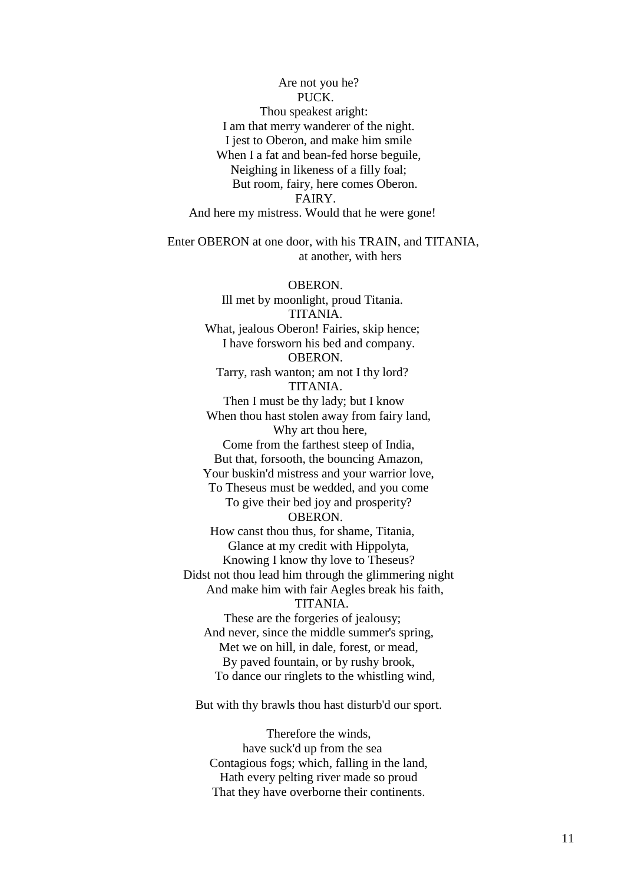Are not you he? PUCK. Thou speakest aright: I am that merry wanderer of the night. I jest to Oberon, and make him smile When I a fat and bean-fed horse beguile, Neighing in likeness of a filly foal; But room, fairy, here comes Oberon. FAIRY. And here my mistress. Would that he were gone!

 Enter OBERON at one door, with his TRAIN, and TITANIA, at another, with hers

 OBERON. Ill met by moonlight, proud Titania. TITANIA. What, jealous Oberon! Fairies, skip hence: I have forsworn his bed and company. OBERON. Tarry, rash wanton; am not I thy lord? TITANIA. Then I must be thy lady; but I know When thou hast stolen away from fairy land, Why art thou here, Come from the farthest steep of India, But that, forsooth, the bouncing Amazon, Your buskin'd mistress and your warrior love, To Theseus must be wedded, and you come To give their bed joy and prosperity? OBERON. How canst thou thus, for shame, Titania, Glance at my credit with Hippolyta, Knowing I know thy love to Theseus? Didst not thou lead him through the glimmering night And make him with fair Aegles break his faith, TITANIA. These are the forgeries of jealousy; And never, since the middle summer's spring, Met we on hill, in dale, forest, or mead, By paved fountain, or by rushy brook, To dance our ringlets to the whistling wind,

But with thy brawls thou hast disturb'd our sport.

 Therefore the winds, have suck'd up from the sea Contagious fogs; which, falling in the land, Hath every pelting river made so proud That they have overborne their continents.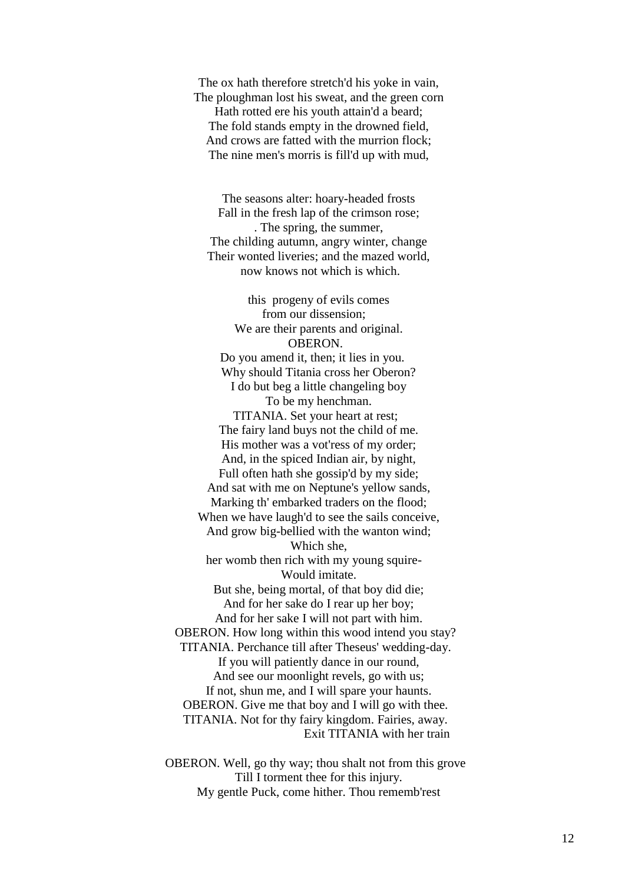The ox hath therefore stretch'd his yoke in vain, The ploughman lost his sweat, and the green corn Hath rotted ere his youth attain'd a beard; The fold stands empty in the drowned field, And crows are fatted with the murrion flock; The nine men's morris is fill'd up with mud,

 The seasons alter: hoary-headed frosts Fall in the fresh lap of the crimson rose; . The spring, the summer, The childing autumn, angry winter, change Their wonted liveries; and the mazed world, now knows not which is which.

 this progeny of evils comes from our dissension; We are their parents and original. OBERON. Do you amend it, then; it lies in you. Why should Titania cross her Oberon? I do but beg a little changeling boy To be my henchman. TITANIA. Set your heart at rest; The fairy land buys not the child of me. His mother was a vot'ress of my order; And, in the spiced Indian air, by night, Full often hath she gossip'd by my side; And sat with me on Neptune's yellow sands, Marking th' embarked traders on the flood; When we have laugh'd to see the sails conceive, And grow big-bellied with the wanton wind; Which she, her womb then rich with my young squire- Would imitate. But she, being mortal, of that boy did die; And for her sake do I rear up her boy; And for her sake I will not part with him. OBERON. How long within this wood intend you stay? TITANIA. Perchance till after Theseus' wedding-day. If you will patiently dance in our round, And see our moonlight revels, go with us; If not, shun me, and I will spare your haunts. OBERON. Give me that boy and I will go with thee. TITANIA. Not for thy fairy kingdom. Fairies, away. Exit TITANIA with her train

 OBERON. Well, go thy way; thou shalt not from this grove Till I torment thee for this injury. My gentle Puck, come hither. Thou rememb'rest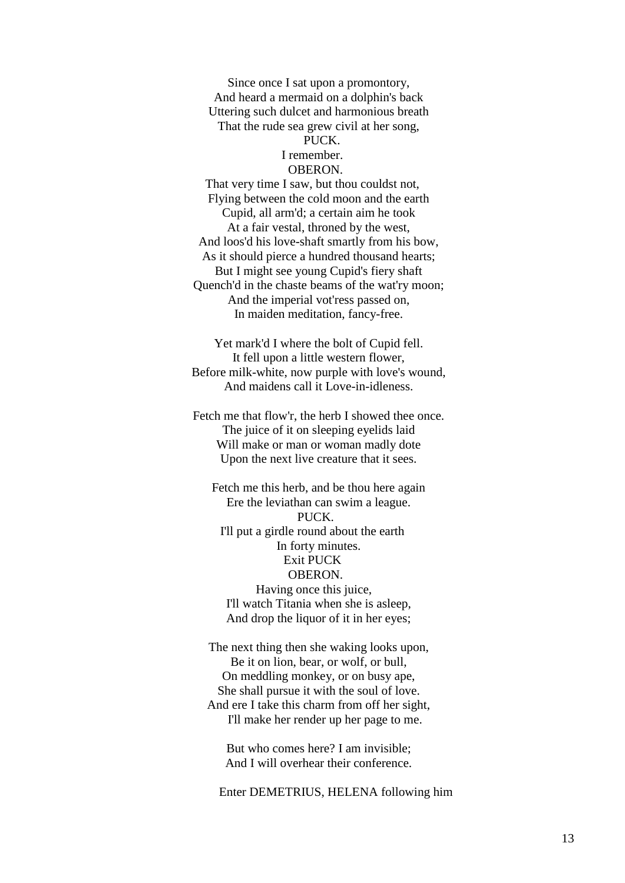Since once I sat upon a promontory, And heard a mermaid on a dolphin's back Uttering such dulcet and harmonious breath That the rude sea grew civil at her song, PUCK.

# I remember.

# OBERON.

That very time I saw, but thou couldst not, Flying between the cold moon and the earth Cupid, all arm'd; a certain aim he took At a fair vestal, throned by the west, And loos'd his love-shaft smartly from his bow, As it should pierce a hundred thousand hearts; But I might see young Cupid's fiery shaft Quench'd in the chaste beams of the wat'ry moon; And the imperial vot'ress passed on, In maiden meditation, fancy-free.

 Yet mark'd I where the bolt of Cupid fell. It fell upon a little western flower, Before milk-white, now purple with love's wound, And maidens call it Love-in-idleness.

 Fetch me that flow'r, the herb I showed thee once. The juice of it on sleeping eyelids laid Will make or man or woman madly dote Upon the next live creature that it sees.

 Fetch me this herb, and be thou here again Ere the leviathan can swim a league. PUCK. I'll put a girdle round about the earth In forty minutes. Exit PUCK OBERON. Having once this juice, I'll watch Titania when she is asleep, And drop the liquor of it in her eyes;

 The next thing then she waking looks upon, Be it on lion, bear, or wolf, or bull, On meddling monkey, or on busy ape, She shall pursue it with the soul of love. And ere I take this charm from off her sight, I'll make her render up her page to me.

 But who comes here? I am invisible; And I will overhear their conference.

Enter DEMETRIUS, HELENA following him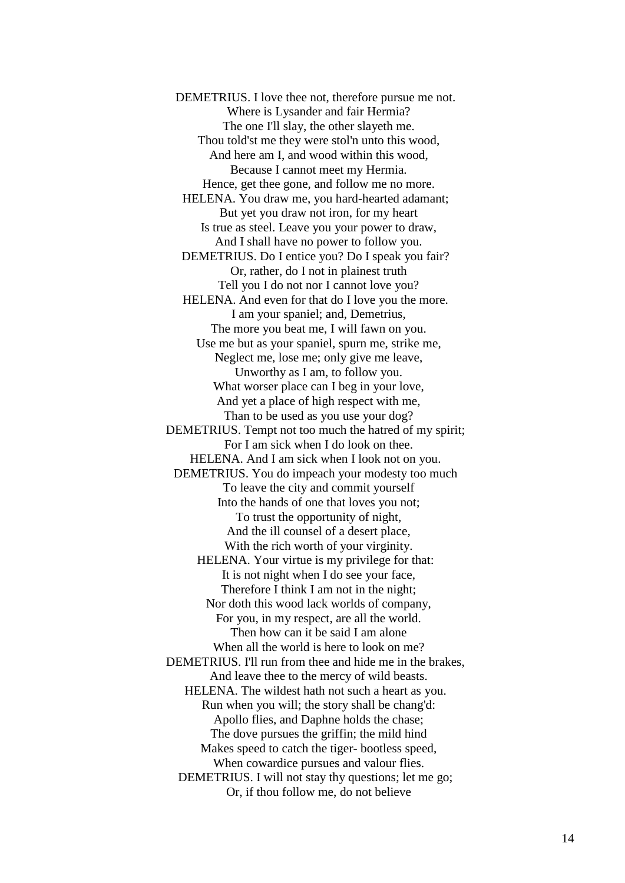DEMETRIUS. I love thee not, therefore pursue me not. Where is Lysander and fair Hermia? The one I'll slay, the other slayeth me. Thou told'st me they were stol'n unto this wood, And here am I, and wood within this wood, Because I cannot meet my Hermia. Hence, get thee gone, and follow me no more. HELENA. You draw me, you hard-hearted adamant; But yet you draw not iron, for my heart Is true as steel. Leave you your power to draw, And I shall have no power to follow you. DEMETRIUS. Do I entice you? Do I speak you fair? Or, rather, do I not in plainest truth Tell you I do not nor I cannot love you? HELENA. And even for that do I love you the more. I am your spaniel; and, Demetrius, The more you beat me, I will fawn on you. Use me but as your spaniel, spurn me, strike me, Neglect me, lose me; only give me leave, Unworthy as I am, to follow you. What worser place can I beg in your love, And yet a place of high respect with me, Than to be used as you use your dog? DEMETRIUS. Tempt not too much the hatred of my spirit; For I am sick when I do look on thee. HELENA. And I am sick when I look not on you. DEMETRIUS. You do impeach your modesty too much To leave the city and commit yourself Into the hands of one that loves you not; To trust the opportunity of night, And the ill counsel of a desert place, With the rich worth of your virginity. HELENA. Your virtue is my privilege for that: It is not night when I do see your face, Therefore I think I am not in the night; Nor doth this wood lack worlds of company, For you, in my respect, are all the world. Then how can it be said I am alone When all the world is here to look on me? DEMETRIUS. I'll run from thee and hide me in the brakes, And leave thee to the mercy of wild beasts. HELENA. The wildest hath not such a heart as you. Run when you will; the story shall be chang'd: Apollo flies, and Daphne holds the chase; The dove pursues the griffin; the mild hind Makes speed to catch the tiger- bootless speed, When cowardice pursues and valour flies. DEMETRIUS. I will not stay thy questions; let me go; Or, if thou follow me, do not believe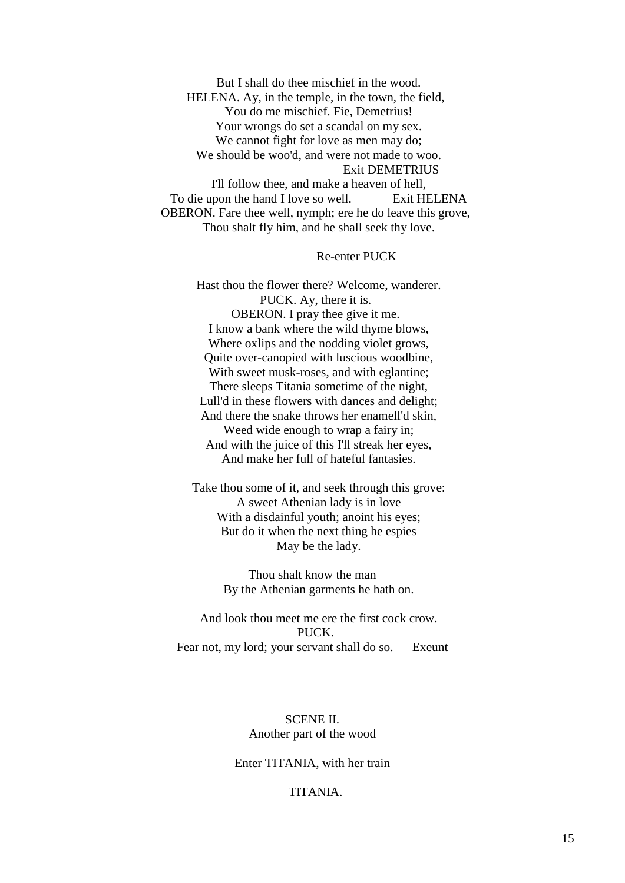But I shall do thee mischief in the wood. HELENA. Ay, in the temple, in the town, the field, You do me mischief. Fie, Demetrius! Your wrongs do set a scandal on my sex. We cannot fight for love as men may do; We should be woo'd, and were not made to woo. Exit DEMETRIUS I'll follow thee, and make a heaven of hell,

To die upon the hand I love so well. Exit HELENA OBERON. Fare thee well, nymph; ere he do leave this grove, Thou shalt fly him, and he shall seek thy love.

### Re-enter PUCK

 Hast thou the flower there? Welcome, wanderer. PUCK. Ay, there it is. OBERON. I pray thee give it me. I know a bank where the wild thyme blows, Where oxlips and the nodding violet grows, Quite over-canopied with luscious woodbine, With sweet musk-roses, and with eglantine; There sleeps Titania sometime of the night, Lull'd in these flowers with dances and delight; And there the snake throws her enamell'd skin, Weed wide enough to wrap a fairy in; And with the juice of this I'll streak her eyes, And make her full of hateful fantasies.

 Take thou some of it, and seek through this grove: A sweet Athenian lady is in love With a disdainful youth; anoint his eyes; But do it when the next thing he espies May be the lady.

> Thou shalt know the man By the Athenian garments he hath on.

 And look thou meet me ere the first cock crow. PUCK. Fear not, my lord; your servant shall do so. Exeunt

# SCENE II. Another part of the wood

# Enter TITANIA, with her train

# TITANIA.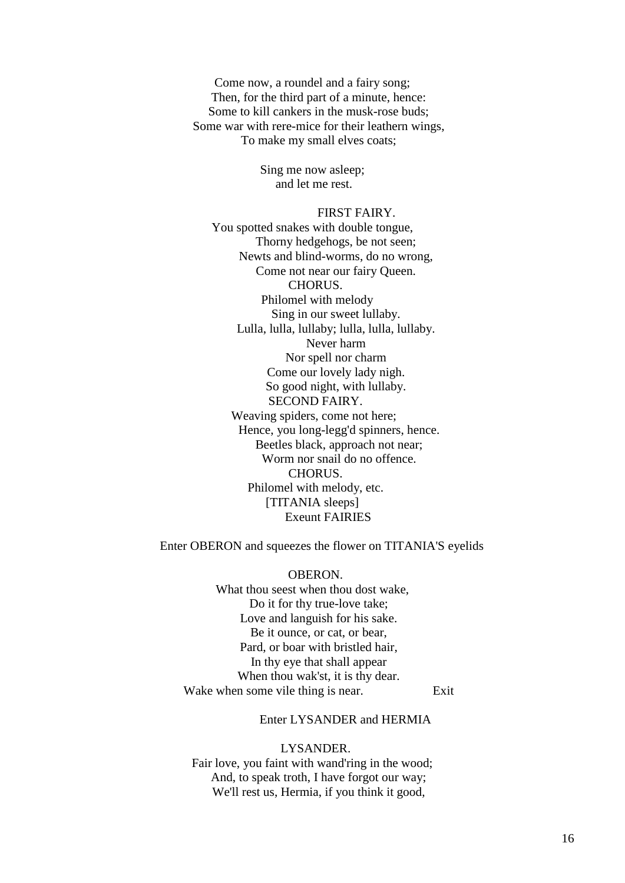Come now, a roundel and a fairy song; Then, for the third part of a minute, hence: Some to kill cankers in the musk-rose buds; Some war with rere-mice for their leathern wings, To make my small elves coats;

> Sing me now asleep; and let me rest.

# FIRST FAIRY.

You spotted snakes with double tongue, Thorny hedgehogs, be not seen; Newts and blind-worms, do no wrong, Come not near our fairy Queen. CHORUS. Philomel with melody Sing in our sweet lullaby. Lulla, lulla, lullaby; lulla, lulla, lullaby. Never harm Nor spell nor charm Come our lovely lady nigh. So good night, with lullaby. SECOND FAIRY. Weaving spiders, come not here; Hence, you long-legg'd spinners, hence. Beetles black, approach not near; Worm nor snail do no offence. CHORUS. Philomel with melody, etc. [TITANIA sleeps] Exeunt FAIRIES

Enter OBERON and squeezes the flower on TITANIA'S eyelids

 OBERON. What thou seest when thou dost wake, Do it for thy true-love take; Love and languish for his sake. Be it ounce, or cat, or bear, Pard, or boar with bristled hair, In thy eye that shall appear When thou wak'st, it is thy dear. Wake when some vile thing is near. Exit

# Enter LYSANDER and HERMIA

#### LYSANDER.

Fair love, you faint with wand'ring in the wood; And, to speak troth, I have forgot our way; We'll rest us, Hermia, if you think it good,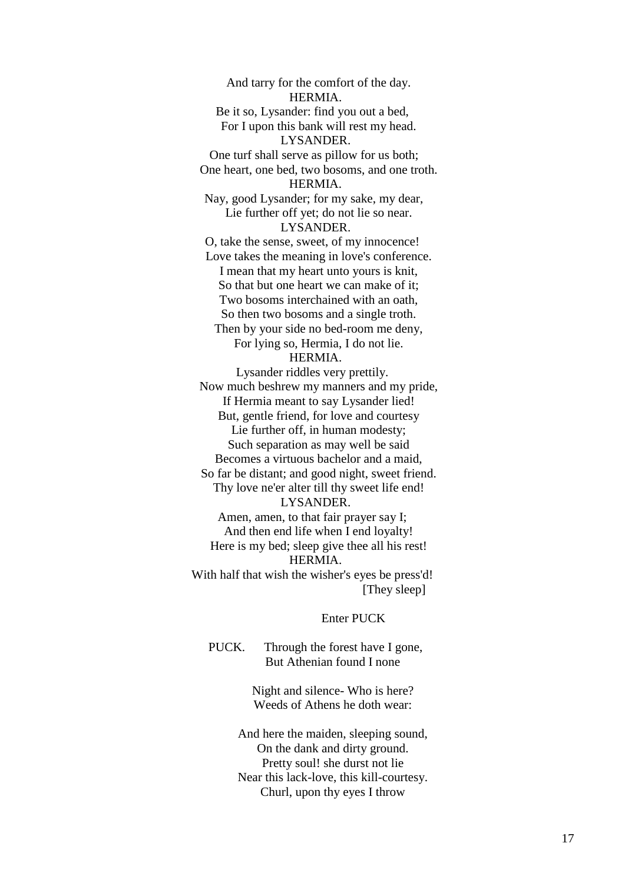And tarry for the comfort of the day. HERMIA. Be it so, Lysander: find you out a bed, For I upon this bank will rest my head. LYSANDER. One turf shall serve as pillow for us both; One heart, one bed, two bosoms, and one troth. HERMIA. Nay, good Lysander; for my sake, my dear, Lie further off yet; do not lie so near. LYSANDER. O, take the sense, sweet, of my innocence! Love takes the meaning in love's conference. I mean that my heart unto yours is knit, So that but one heart we can make of it; Two bosoms interchained with an oath, So then two bosoms and a single troth. Then by your side no bed-room me deny, For lying so, Hermia, I do not lie. HERMIA.

Lysander riddles very prettily. Now much beshrew my manners and my pride, If Hermia meant to say Lysander lied! But, gentle friend, for love and courtesy Lie further off, in human modesty; Such separation as may well be said Becomes a virtuous bachelor and a maid, So far be distant; and good night, sweet friend. Thy love ne'er alter till thy sweet life end! LYSANDER. Amen, amen, to that fair prayer say I; And then end life when I end loyalty! Here is my bed; sleep give thee all his rest!

HERMIA.

With half that wish the wisher's eyes be press'd! [They sleep]

### Enter PUCK

 PUCK. Through the forest have I gone, But Athenian found I none

> Night and silence- Who is here? Weeds of Athens he doth wear:

 And here the maiden, sleeping sound, On the dank and dirty ground. Pretty soul! she durst not lie Near this lack-love, this kill-courtesy. Churl, upon thy eyes I throw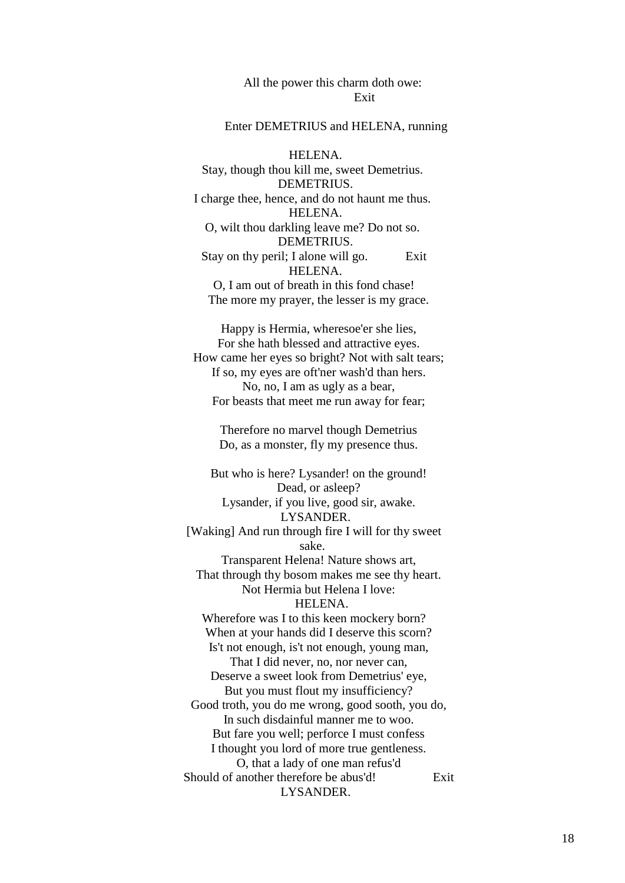# All the power this charm doth owe: Exit

#### Enter DEMETRIUS and HELENA, running

 HELENA. Stay, though thou kill me, sweet Demetrius. DEMETRIUS. I charge thee, hence, and do not haunt me thus. HELENA. O, wilt thou darkling leave me? Do not so. DEMETRIUS. Stay on thy peril; I alone will go. Exit HELENA. O, I am out of breath in this fond chase! The more my prayer, the lesser is my grace.

 Happy is Hermia, wheresoe'er she lies, For she hath blessed and attractive eyes. How came her eyes so bright? Not with salt tears; If so, my eyes are oft'ner wash'd than hers. No, no, I am as ugly as a bear, For beasts that meet me run away for fear;

> Therefore no marvel though Demetrius Do, as a monster, fly my presence thus.

 But who is here? Lysander! on the ground! Dead, or asleep? Lysander, if you live, good sir, awake. LYSANDER. [Waking] And run through fire I will for thy sweet sake. Transparent Helena! Nature shows art, That through thy bosom makes me see thy heart. Not Hermia but Helena I love: HELENA. Wherefore was I to this keen mockery born? When at your hands did I deserve this scorn? Is't not enough, is't not enough, young man, That I did never, no, nor never can, Deserve a sweet look from Demetrius' eye, But you must flout my insufficiency? Good troth, you do me wrong, good sooth, you do, In such disdainful manner me to woo. But fare you well; perforce I must confess I thought you lord of more true gentleness. O, that a lady of one man refus'd Should of another therefore be abus'd! Exit LYSANDER.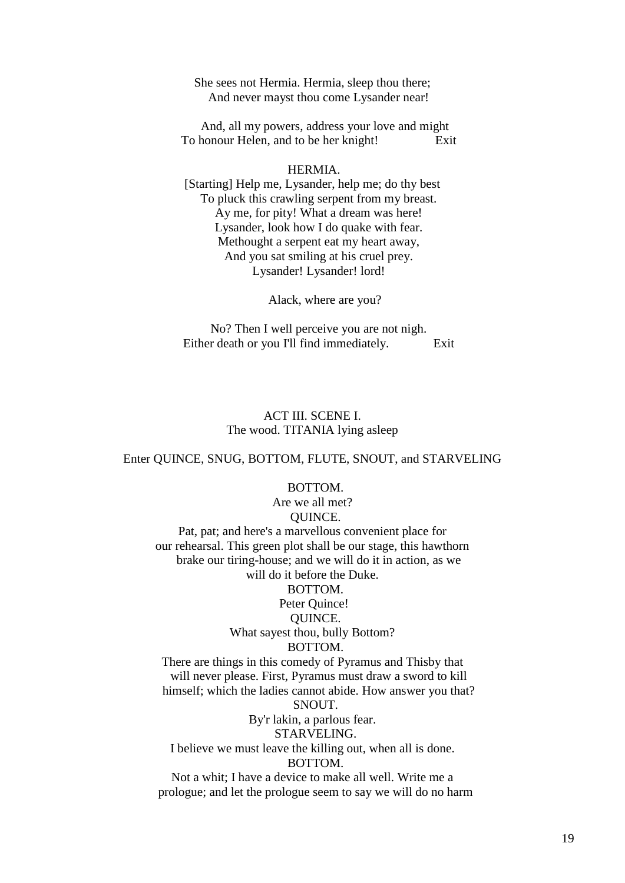She sees not Hermia. Hermia, sleep thou there; And never mayst thou come Lysander near!

 And, all my powers, address your love and might To honour Helen, and to be her knight! Exit

#### HERMIA.

[Starting] Help me, Lysander, help me; do thy best To pluck this crawling serpent from my breast. Ay me, for pity! What a dream was here! Lysander, look how I do quake with fear. Methought a serpent eat my heart away, And you sat smiling at his cruel prey. Lysander! Lysander! lord!

Alack, where are you?

 No? Then I well perceive you are not nigh. Either death or you I'll find immediately. Exit

# ACT III. SCENE I. The wood. TITANIA lying asleep

#### Enter QUINCE, SNUG, BOTTOM, FLUTE, SNOUT, and STARVELING

#### BOTTOM.

Are we all met? QUINCE. Pat, pat; and here's a marvellous convenient place for our rehearsal. This green plot shall be our stage, this hawthorn brake our tiring-house; and we will do it in action, as we will do it before the Duke. BOTTOM. Peter Quince! QUINCE. What sayest thou, bully Bottom? BOTTOM. There are things in this comedy of Pyramus and Thisby that will never please. First, Pyramus must draw a sword to kill himself; which the ladies cannot abide. How answer you that? SNOUT. By'r lakin, a parlous fear. STARVELING. I believe we must leave the killing out, when all is done. BOTTOM. Not a whit; I have a device to make all well. Write me a

prologue; and let the prologue seem to say we will do no harm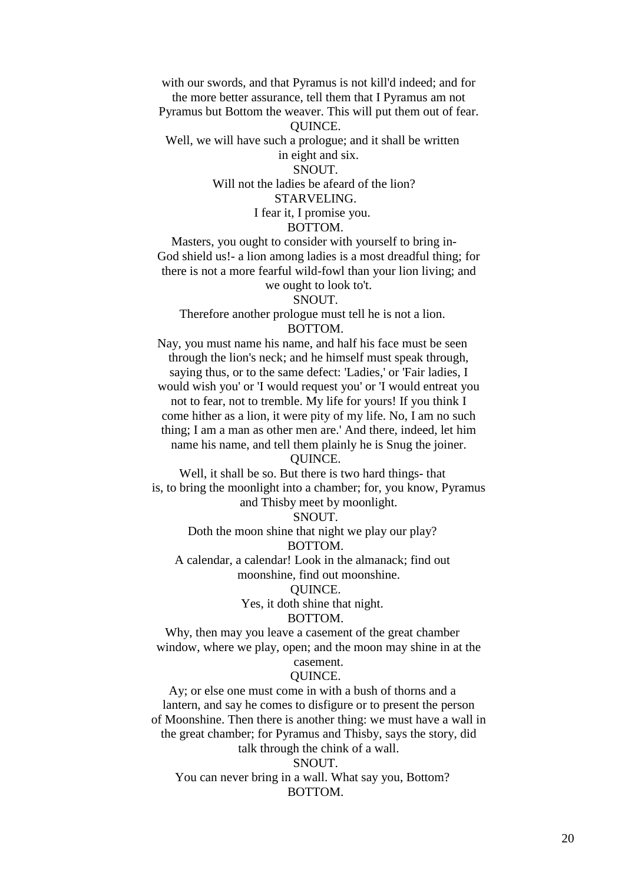with our swords, and that Pyramus is not kill'd indeed; and for the more better assurance, tell them that I Pyramus am not Pyramus but Bottom the weaver. This will put them out of fear.

QUINCE.

Well, we will have such a prologue; and it shall be written in eight and six.

# SNOUT.

Will not the ladies be afeard of the lion?

# STARVELING.

I fear it, I promise you.

# BOTTOM.

Masters, you ought to consider with yourself to bring in- God shield us!- a lion among ladies is a most dreadful thing; for there is not a more fearful wild-fowl than your lion living; and we ought to look to't.

SNOUT.

Therefore another prologue must tell he is not a lion. BOTTOM.

Nay, you must name his name, and half his face must be seen through the lion's neck; and he himself must speak through, saying thus, or to the same defect: 'Ladies,' or 'Fair ladies, I would wish you' or 'I would request you' or 'I would entreat you not to fear, not to tremble. My life for yours! If you think I come hither as a lion, it were pity of my life. No, I am no such thing; I am a man as other men are.' And there, indeed, let him name his name, and tell them plainly he is Snug the joiner.

# QUINCE.

Well, it shall be so. But there is two hard things- that is, to bring the moonlight into a chamber; for, you know, Pyramus and Thisby meet by moonlight.

SNOUT.

Doth the moon shine that night we play our play? BOTTOM.

A calendar, a calendar! Look in the almanack; find out moonshine, find out moonshine.

# QUINCE.

Yes, it doth shine that night.

# BOTTOM.

Why, then may you leave a casement of the great chamber window, where we play, open; and the moon may shine in at the

# casement.

# QUINCE.

Ay; or else one must come in with a bush of thorns and a lantern, and say he comes to disfigure or to present the person of Moonshine. Then there is another thing: we must have a wall in the great chamber; for Pyramus and Thisby, says the story, did talk through the chink of a wall.

### SNOUT.

You can never bring in a wall. What say you, Bottom? BOTTOM.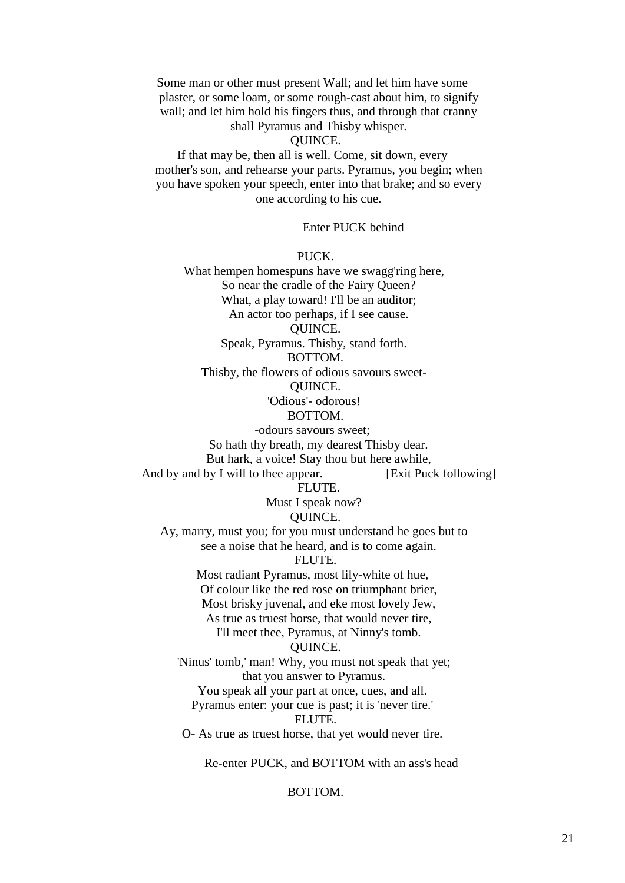Some man or other must present Wall; and let him have some plaster, or some loam, or some rough-cast about him, to signify wall; and let him hold his fingers thus, and through that cranny

shall Pyramus and Thisby whisper.

# QUINCE.

If that may be, then all is well. Come, sit down, every mother's son, and rehearse your parts. Pyramus, you begin; when you have spoken your speech, enter into that brake; and so every one according to his cue.

# Enter PUCK behind

#### PUCK.

What hempen homespuns have we swagg'ring here, So near the cradle of the Fairy Queen? What, a play toward! I'll be an auditor; An actor too perhaps, if I see cause. QUINCE. Speak, Pyramus. Thisby, stand forth. BOTTOM.

Thisby, the flowers of odious savours sweet- QUINCE.

# 'Odious'- odorous!

#### BOTTOM.

-odours savours sweet; So hath thy breath, my dearest Thisby dear. But hark, a voice! Stay thou but here awhile, And by and by I will to thee appear. [Exit Puck following] FLUTE. Must I speak now? QUINCE. Ay, marry, must you; for you must understand he goes but to see a noise that he heard, and is to come again. FLUTE. Most radiant Pyramus, most lily-white of hue, Of colour like the red rose on triumphant brier, Most brisky juvenal, and eke most lovely Jew, As true as truest horse, that would never tire, I'll meet thee, Pyramus, at Ninny's tomb. QUINCE. 'Ninus' tomb,' man! Why, you must not speak that yet; that you answer to Pyramus. You speak all your part at once, cues, and all. Pyramus enter: your cue is past; it is 'never tire.' FLUTE. O- As true as truest horse, that yet would never tire.

Re-enter PUCK, and BOTTOM with an ass's head

## BOTTOM.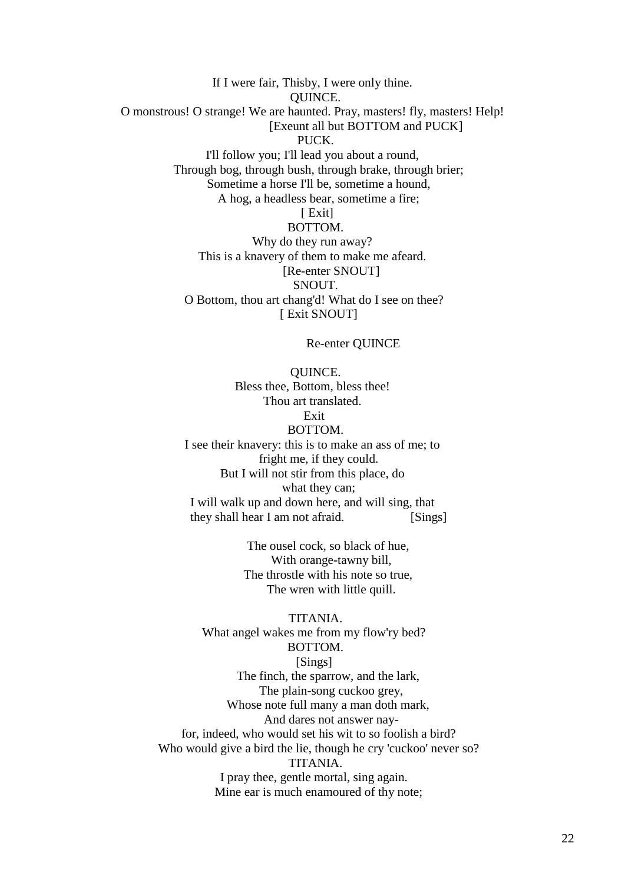If I were fair, Thisby, I were only thine. QUINCE. O monstrous! O strange! We are haunted. Pray, masters! fly, masters! Help! [Exeunt all but BOTTOM and PUCK] PUCK. I'll follow you; I'll lead you about a round, Through bog, through bush, through brake, through brier; Sometime a horse I'll be, sometime a hound, A hog, a headless bear, sometime a fire; [ Exit] BOTTOM. Why do they run away? This is a knavery of them to make me afeard. [Re-enter SNOUT] SNOUT. O Bottom, thou art chang'd! What do I see on thee? [ Exit SNOUT]

Re-enter QUINCE

 QUINCE. Bless thee, Bottom, bless thee! Thou art translated. Exit BOTTOM. I see their knavery: this is to make an ass of me; to fright me, if they could. But I will not stir from this place, do what they can; I will walk up and down here, and will sing, that they shall hear I am not afraid. [Sings]

> The ousel cock, so black of hue, With orange-tawny bill, The throstle with his note so true, The wren with little quill.

 TITANIA. What angel wakes me from my flow'ry bed? BOTTOM. [Sings] The finch, the sparrow, and the lark, The plain-song cuckoo grey, Whose note full many a man doth mark, And dares not answer nay for, indeed, who would set his wit to so foolish a bird? Who would give a bird the lie, though he cry 'cuckoo' never so? TITANIA. I pray thee, gentle mortal, sing again. Mine ear is much enamoured of thy note;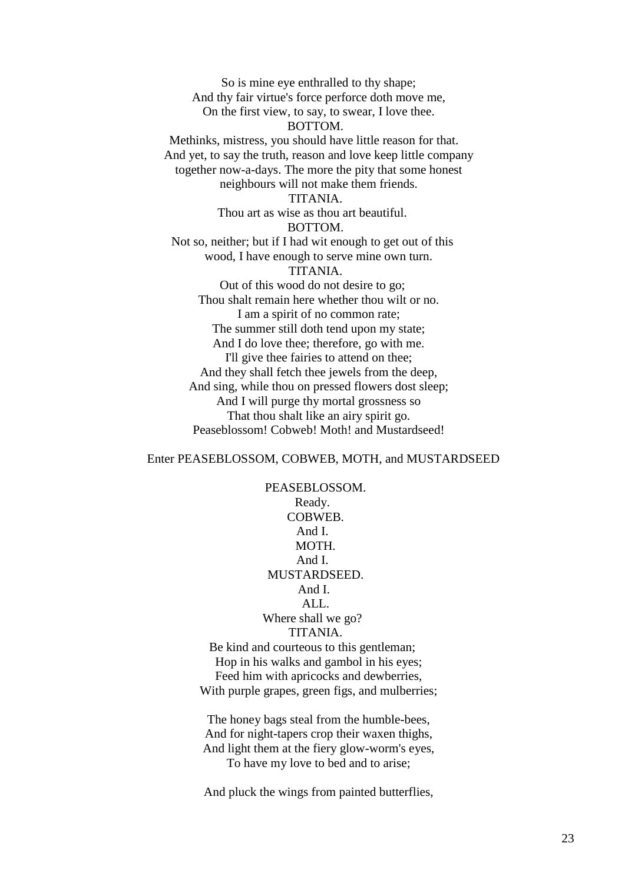So is mine eye enthralled to thy shape; And thy fair virtue's force perforce doth move me, On the first view, to say, to swear, I love thee. BOTTOM. Methinks, mistress, you should have little reason for that. And yet, to say the truth, reason and love keep little company together now-a-days. The more the pity that some honest neighbours will not make them friends. TITANIA. Thou art as wise as thou art beautiful. BOTTOM. Not so, neither; but if I had wit enough to get out of this wood, I have enough to serve mine own turn. TITANIA. Out of this wood do not desire to go; Thou shalt remain here whether thou wilt or no. I am a spirit of no common rate; The summer still doth tend upon my state; And I do love thee; therefore, go with me. I'll give thee fairies to attend on thee; And they shall fetch thee jewels from the deep, And sing, while thou on pressed flowers dost sleep; And I will purge thy mortal grossness so That thou shalt like an airy spirit go. Peaseblossom! Cobweb! Moth! and Mustardseed!

# Enter PEASEBLOSSOM, COBWEB, MOTH, and MUSTARDSEED

 PEASEBLOSSOM. Ready. COBWEB. And I. MOTH. And I. MUSTARDSEED. And I. ALL. Where shall we go? TITANIA. Be kind and courteous to this gentleman;

 Hop in his walks and gambol in his eyes; Feed him with apricocks and dewberries, With purple grapes, green figs, and mulberries;

 The honey bags steal from the humble-bees, And for night-tapers crop their waxen thighs, And light them at the fiery glow-worm's eyes, To have my love to bed and to arise;

And pluck the wings from painted butterflies,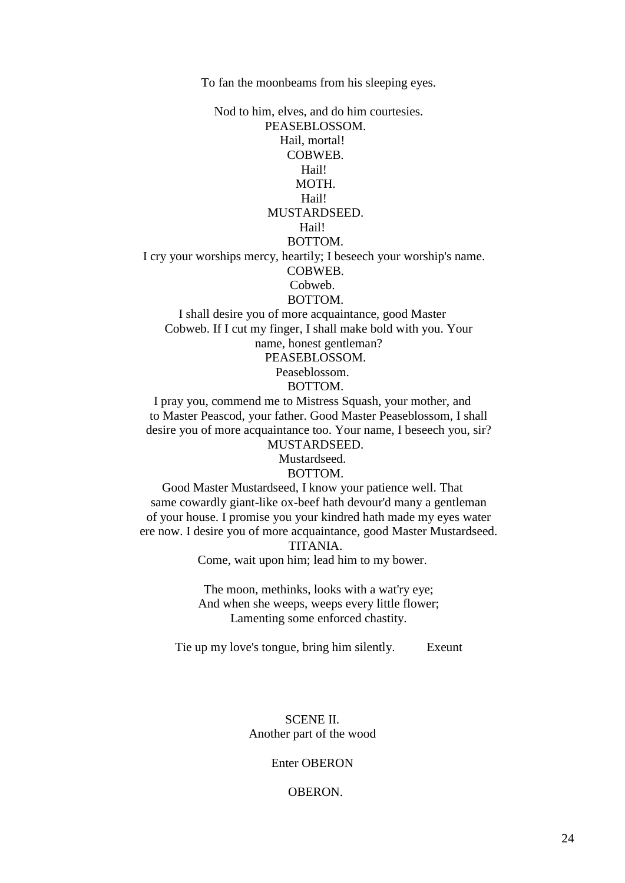To fan the moonbeams from his sleeping eyes.

 Nod to him, elves, and do him courtesies. PEASEBLOSSOM. Hail, mortal! COBWEB. Hail! MOTH. Hail! MUSTARDSEED. Hail! BOTTOM. I cry your worships mercy, heartily; I beseech your worship's name. COBWEB. Cobweb. BOTTOM. I shall desire you of more acquaintance, good Master Cobweb. If I cut my finger, I shall make bold with you. Your

 name, honest gentleman? PEASEBLOSSOM.

Peaseblossom.

# BOTTOM.

I pray you, commend me to Mistress Squash, your mother, and to Master Peascod, your father. Good Master Peaseblossom, I shall desire you of more acquaintance too. Your name, I beseech you, sir? MUSTARDSEED.

Mustardseed.

### BOTTOM.

Good Master Mustardseed, I know your patience well. That same cowardly giant-like ox-beef hath devour'd many a gentleman of your house. I promise you your kindred hath made my eyes water ere now. I desire you of more acquaintance, good Master Mustardseed.

TITANIA.

Come, wait upon him; lead him to my bower.

 The moon, methinks, looks with a wat'ry eye; And when she weeps, weeps every little flower; Lamenting some enforced chastity.

Tie up my love's tongue, bring him silently. Exeunt

# SCENE II. Another part of the wood

# Enter OBERON

# OBERON.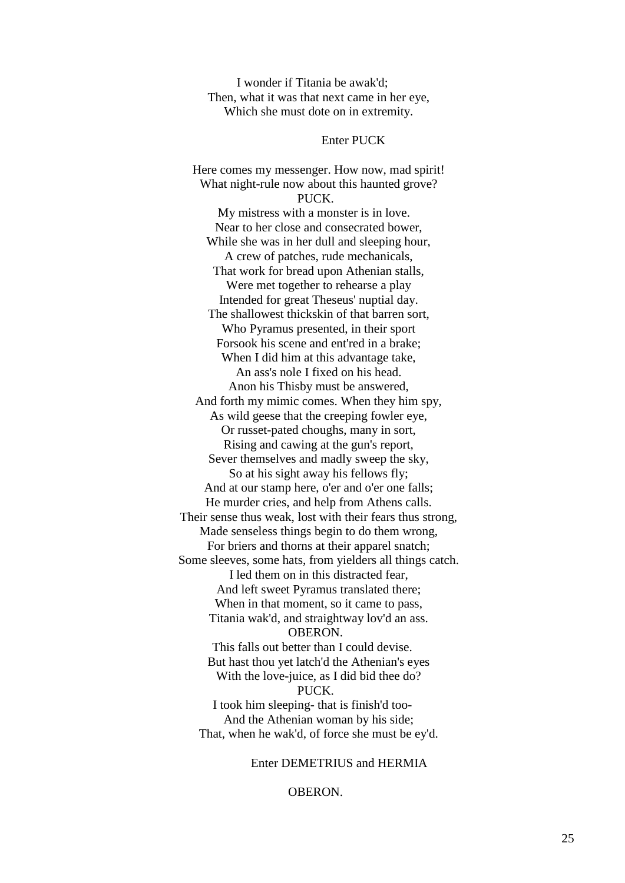I wonder if Titania be awak'd; Then, what it was that next came in her eye, Which she must dote on in extremity.

#### Enter PUCK

 Here comes my messenger. How now, mad spirit! What night-rule now about this haunted grove? PUCK. My mistress with a monster is in love. Near to her close and consecrated bower, While she was in her dull and sleeping hour, A crew of patches, rude mechanicals, That work for bread upon Athenian stalls, Were met together to rehearse a play Intended for great Theseus' nuptial day. The shallowest thickskin of that barren sort, Who Pyramus presented, in their sport Forsook his scene and ent'red in a brake; When I did him at this advantage take, An ass's nole I fixed on his head. Anon his Thisby must be answered, And forth my mimic comes. When they him spy, As wild geese that the creeping fowler eye, Or russet-pated choughs, many in sort, Rising and cawing at the gun's report, Sever themselves and madly sweep the sky, So at his sight away his fellows fly; And at our stamp here, o'er and o'er one falls; He murder cries, and help from Athens calls. Their sense thus weak, lost with their fears thus strong, Made senseless things begin to do them wrong, For briers and thorns at their apparel snatch; Some sleeves, some hats, from yielders all things catch. I led them on in this distracted fear, And left sweet Pyramus translated there; When in that moment, so it came to pass, Titania wak'd, and straightway lov'd an ass. OBERON. This falls out better than I could devise. But hast thou yet latch'd the Athenian's eyes With the love-juice, as I did bid thee do? PUCK. I took him sleeping- that is finish'd too- And the Athenian woman by his side; That, when he wak'd, of force she must be ey'd.

Enter DEMETRIUS and HERMIA

OBERON.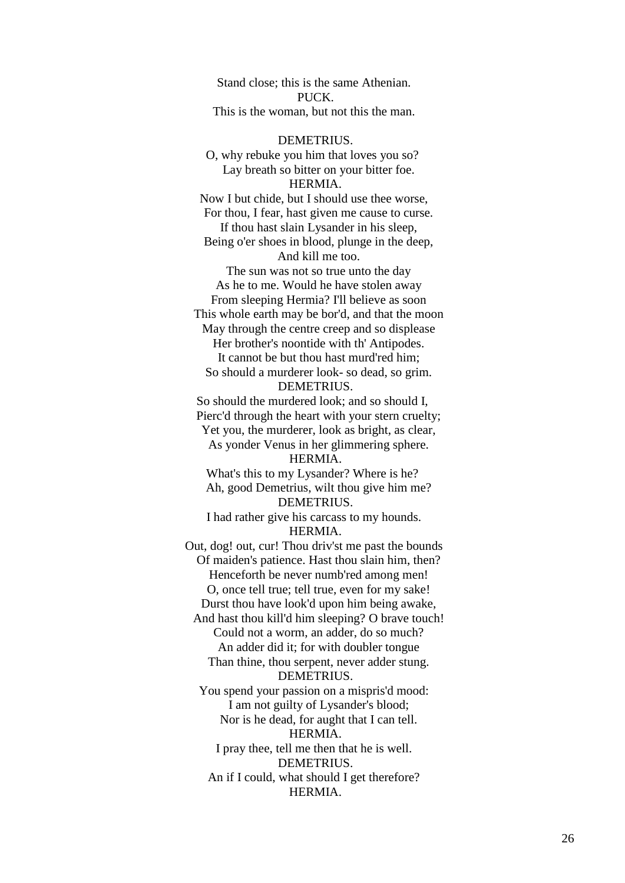Stand close; this is the same Athenian. PUCK. This is the woman, but not this the man.

DEMETRIUS.

O, why rebuke you him that loves you so? Lay breath so bitter on your bitter foe. HERMIA. Now I but chide, but I should use thee worse, For thou, I fear, hast given me cause to curse. If thou hast slain Lysander in his sleep, Being o'er shoes in blood, plunge in the deep, And kill me too. The sun was not so true unto the day As he to me. Would he have stolen away From sleeping Hermia? I'll believe as soon This whole earth may be bor'd, and that the moon May through the centre creep and so displease Her brother's noontide with th' Antipodes. It cannot be but thou hast murd'red him; So should a murderer look- so dead, so grim. DEMETRIUS. So should the murdered look; and so should I, Pierc'd through the heart with your stern cruelty; Yet you, the murderer, look as bright, as clear, As yonder Venus in her glimmering sphere. HERMIA. What's this to my Lysander? Where is he? Ah, good Demetrius, wilt thou give him me? DEMETRIUS. I had rather give his carcass to my hounds. HERMIA. Out, dog! out, cur! Thou driv'st me past the bounds Of maiden's patience. Hast thou slain him, then? Henceforth be never numb'red among men! O, once tell true; tell true, even for my sake! Durst thou have look'd upon him being awake, And hast thou kill'd him sleeping? O brave touch! Could not a worm, an adder, do so much? An adder did it; for with doubler tongue Than thine, thou serpent, never adder stung. DEMETRIUS. You spend your passion on a mispris'd mood: I am not guilty of Lysander's blood; Nor is he dead, for aught that I can tell. HERMIA. I pray thee, tell me then that he is well. DEMETRIUS. An if I could, what should I get therefore? HERMIA.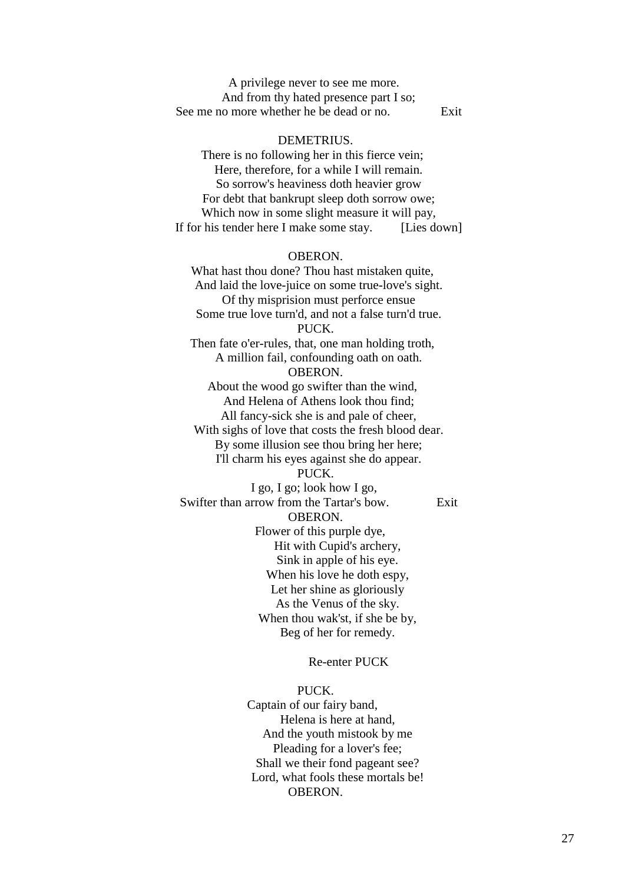A privilege never to see me more. And from thy hated presence part I so; See me no more whether he be dead or no. Exit

# DEMETRIUS.

There is no following her in this fierce vein; Here, therefore, for a while I will remain. So sorrow's heaviness doth heavier grow For debt that bankrupt sleep doth sorrow owe; Which now in some slight measure it will pay, If for his tender here I make some stay. [Lies down]

#### OBERON.

What hast thou done? Thou hast mistaken quite, And laid the love-juice on some true-love's sight. Of thy misprision must perforce ensue Some true love turn'd, and not a false turn'd true. PUCK. Then fate o'er-rules, that, one man holding troth, A million fail, confounding oath on oath. OBERON. About the wood go swifter than the wind, And Helena of Athens look thou find; All fancy-sick she is and pale of cheer, With sighs of love that costs the fresh blood dear. By some illusion see thou bring her here; I'll charm his eyes against she do appear. PUCK. I go, I go; look how I go, Swifter than arrow from the Tartar's bow. Exit OBERON. Flower of this purple dye, Hit with Cupid's archery,

 Sink in apple of his eye. When his love he doth espy, Let her shine as gloriously As the Venus of the sky. When thou wak'st, if she be by, Beg of her for remedy.

Re-enter PUCK

 PUCK. Captain of our fairy band, Helena is here at hand, And the youth mistook by me Pleading for a lover's fee; Shall we their fond pageant see? Lord, what fools these mortals be! OBERON.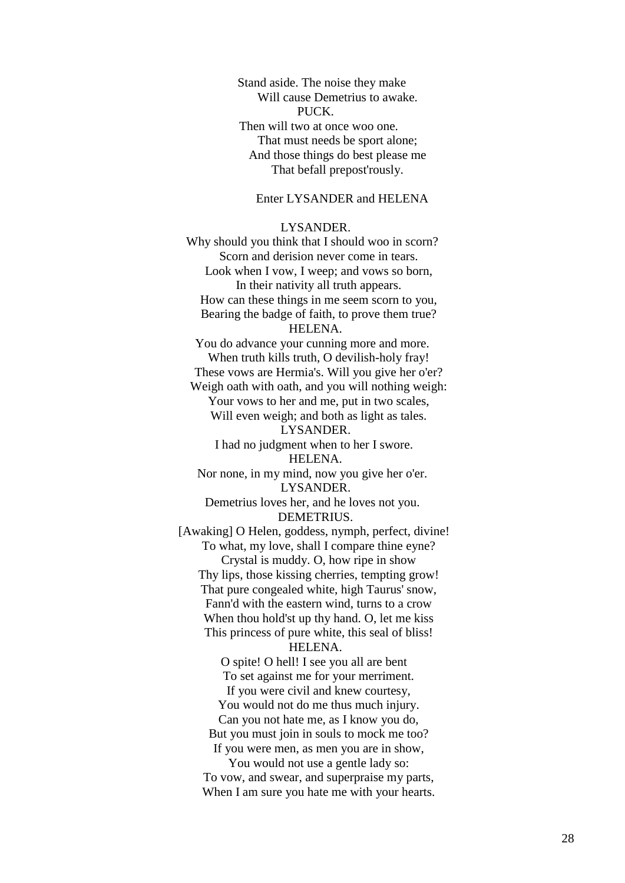Stand aside. The noise they make Will cause Demetrius to awake. PUCK. Then will two at once woo one. That must needs be sport alone; And those things do best please me That befall prepost'rously.

# Enter LYSANDER and HELENA

#### LYSANDER.

Why should you think that I should woo in scorn? Scorn and derision never come in tears. Look when I vow, I weep; and vows so born, In their nativity all truth appears. How can these things in me seem scorn to you, Bearing the badge of faith, to prove them true? HELENA. You do advance your cunning more and more. When truth kills truth, O devilish-holy fray! These vows are Hermia's. Will you give her o'er? Weigh oath with oath, and you will nothing weigh: Your vows to her and me, put in two scales, Will even weigh; and both as light as tales. LYSANDER. I had no judgment when to her I swore. HELENA. Nor none, in my mind, now you give her o'er. LYSANDER. Demetrius loves her, and he loves not you. DEMETRIUS. [Awaking] O Helen, goddess, nymph, perfect, divine! To what, my love, shall I compare thine eyne? Crystal is muddy. O, how ripe in show Thy lips, those kissing cherries, tempting grow! That pure congealed white, high Taurus' snow, Fann'd with the eastern wind, turns to a crow When thou hold'st up thy hand. O, let me kiss This princess of pure white, this seal of bliss! HELENA. O spite! O hell! I see you all are bent To set against me for your merriment. If you were civil and knew courtesy, You would not do me thus much injury. Can you not hate me, as I know you do, But you must join in souls to mock me too? If you were men, as men you are in show,

 You would not use a gentle lady so: To vow, and swear, and superpraise my parts, When I am sure you hate me with your hearts.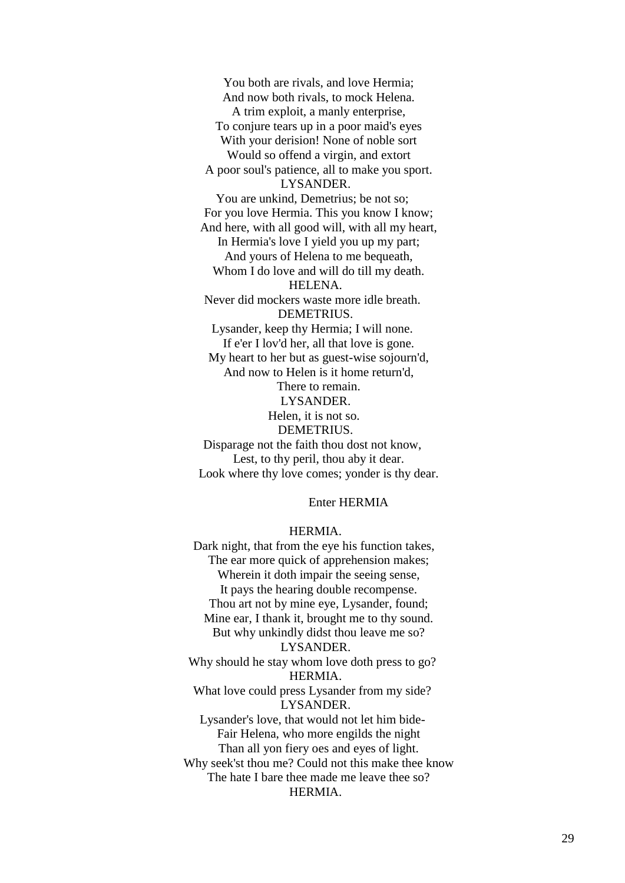You both are rivals, and love Hermia; And now both rivals, to mock Helena. A trim exploit, a manly enterprise, To conjure tears up in a poor maid's eyes With your derision! None of noble sort Would so offend a virgin, and extort A poor soul's patience, all to make you sport. LYSANDER. You are unkind, Demetrius; be not so; For you love Hermia. This you know I know; And here, with all good will, with all my heart, In Hermia's love I yield you up my part; And yours of Helena to me bequeath, Whom I do love and will do till my death. HELENA. Never did mockers waste more idle breath. DEMETRIUS. Lysander, keep thy Hermia; I will none. If e'er I lov'd her, all that love is gone. My heart to her but as guest-wise sojourn'd, And now to Helen is it home return'd, There to remain. LYSANDER. Helen, it is not so. DEMETRIUS. Disparage not the faith thou dost not know, Lest, to thy peril, thou aby it dear. Look where thy love comes; yonder is thy dear.

# Enter HERMIA

#### HERMIA.

Dark night, that from the eye his function takes, The ear more quick of apprehension makes; Wherein it doth impair the seeing sense, It pays the hearing double recompense. Thou art not by mine eye, Lysander, found; Mine ear, I thank it, brought me to thy sound. But why unkindly didst thou leave me so? LYSANDER. Why should he stay whom love doth press to go? HERMIA. What love could press Lysander from my side? LYSANDER. Lysander's love, that would not let him bide- Fair Helena, who more engilds the night Than all yon fiery oes and eyes of light. Why seek'st thou me? Could not this make thee know The hate I bare thee made me leave thee so? HERMIA.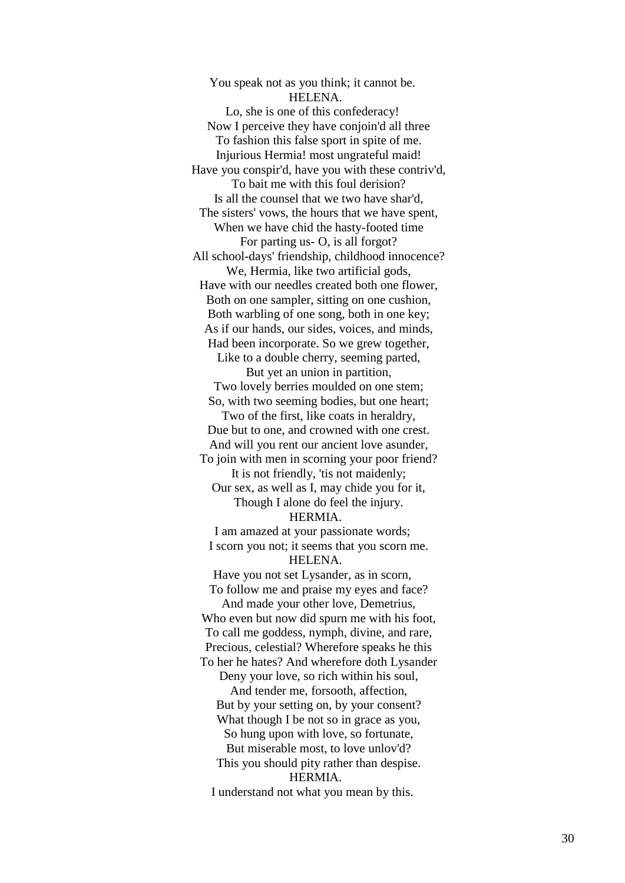You speak not as you think; it cannot be. HELENA. Lo, she is one of this confederacy! Now I perceive they have conjoin'd all three To fashion this false sport in spite of me. Injurious Hermia! most ungrateful maid! Have you conspir'd, have you with these contriv'd, To bait me with this foul derision? Is all the counsel that we two have shar'd, The sisters' vows, the hours that we have spent, When we have chid the hasty -footed time For parting us - O, is all forgot? All school -days' friendship, childhood innocence? We, Hermia, like two artificial gods, Have with our needles created both one flower, Both on one sampler, sitting on one cushion, Both warbling of one song, both in one key; As if our hands, our sides, voices, and minds, Had been incorporate. So we grew together, Like to a double cherry, seeming parted, But yet an union in partition, Two lovely berries moulded on one stem; So, with two seeming bodies, but one heart; Two of the first, like coats in heraldry, Due but to one, and crowned with one crest. And will you rent our ancient love asunder, To join with men in scorning your poor friend? It is not friendly, 'tis not maidenly; Our sex, as well as I, may chide you for it, Though I alone do feel the injury. HERMIA. I am amazed at your passionate words; I scorn you not; it seems that you scorn me.

HELENA.

Have you not set Lysander, as in scorn, To follow me and praise my eyes and face?

 And made your other love, Demetrius, Who even but now did spurn me with his foot, To call me goddess, nymph, divine, and rare, Precious, celestial? Wherefore speaks he this To her he hates? And wherefore doth Lysander

 Deny your love, so rich within his soul, And tender me, forsooth, affection, But by your setting on, by your consent? What though I be not so in grace as you,

So hung upon with love, so fortunate,

But miserable most, to love unlov'd?

 This you should pity rather than despise. HERMIA.

I understand not what you mean by this.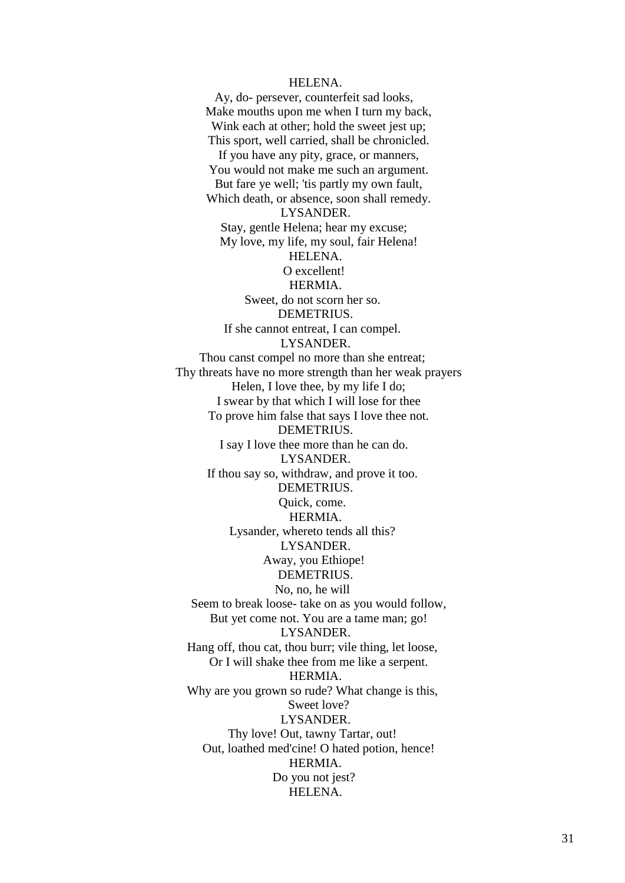#### HELENA.

Ay, do- persever, counterfeit sad looks, Make mouths upon me when I turn my back, Wink each at other; hold the sweet jest up; This sport, well carried, shall be chronicled. If you have any pity, grace, or manners, You would not make me such an argument. But fare ye well; 'tis partly my own fault, Which death, or absence, soon shall remedy. LYSANDER. Stay, gentle Helena; hear my excuse; My love, my life, my soul, fair Helena! HELENA. O excellent! HERMIA. Sweet, do not scorn her so. DEMETRIUS. If she cannot entreat, I can compel. LYSANDER. Thou canst compel no more than she entreat; Thy threats have no more strength than her weak prayers Helen, I love thee, by my life I do; I swear by that which I will lose for thee To prove him false that says I love thee not. DEMETRIUS. I say I love thee more than he can do. LYSANDER. If thou say so, withdraw, and prove it too. DEMETRIUS. Quick, come. HERMIA. Lysander, whereto tends all this? LYSANDER. Away, you Ethiope! DEMETRIUS. No, no, he will Seem to break loose- take on as you would follow, But yet come not. You are a tame man; go! LYSANDER. Hang off, thou cat, thou burr; vile thing, let loose, Or I will shake thee from me like a serpent. HERMIA. Why are you grown so rude? What change is this, Sweet love? LYSANDER. Thy love! Out, tawny Tartar, out! Out, loathed med'cine! O hated potion, hence! HERMIA. Do you not jest? HELENA.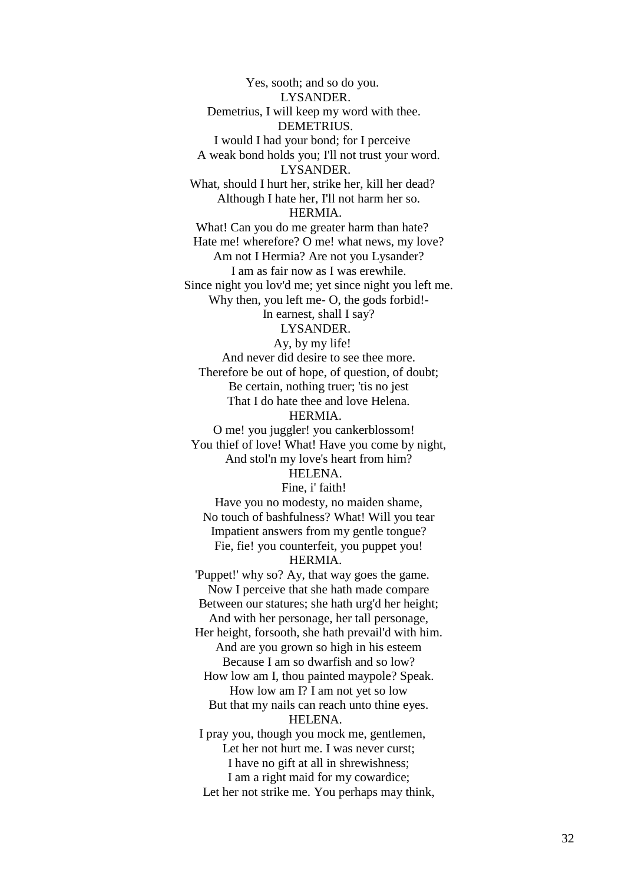Yes, sooth; and so do you. LYSANDER. Demetrius, I will keep my word with thee. DEMETRIUS. I would I had your bond; for I perceive A weak bond holds you; I'll not trust your word. LYSANDER. What, should I hurt her, strike her, kill her dead? Although I hate her, I'll not harm her so. HERMIA. What! Can you do me greater harm than hate? Hate me! wherefore? O me! what news, my love? Am not I Hermia? Are not you Lysander? I am as fair now as I was erewhile. Since night you lov'd me; yet since night you left me. Why then, you left me- O, the gods forbid!- In earnest, shall I say? LYSANDER.

Ay, by my life! And never did desire to see thee more. Therefore be out of hope, of question, of doubt; Be certain, nothing truer; 'tis no jest That I do hate thee and love Helena. HERMIA.

O me! you juggler! you cankerblossom! You thief of love! What! Have you come by night, And stol'n my love's heart from him? HELENA.

Fine, i' faith!

 Have you no modesty, no maiden shame, No touch of bashfulness? What! Will you tear Impatient answers from my gentle tongue? Fie, fie! you counterfeit, you puppet you! HERMIA.

# 'Puppet!' why so? Ay, that way goes the game. Now I perceive that she hath made compare Between our statures; she hath urg'd her height; And with her personage, her tall personage, Her height, forsooth, she hath prevail'd with him. And are you grown so high in his esteem Because I am so dwarfish and so low? How low am I, thou painted maypole? Speak. How low am I? I am not yet so low But that my nails can reach unto thine eyes. HELENA. I pray you, though you mock me, gentlemen, Let her not hurt me. I was never curst; I have no gift at all in shrewishness; I am a right maid for my cowardice;

Let her not strike me. You perhaps may think,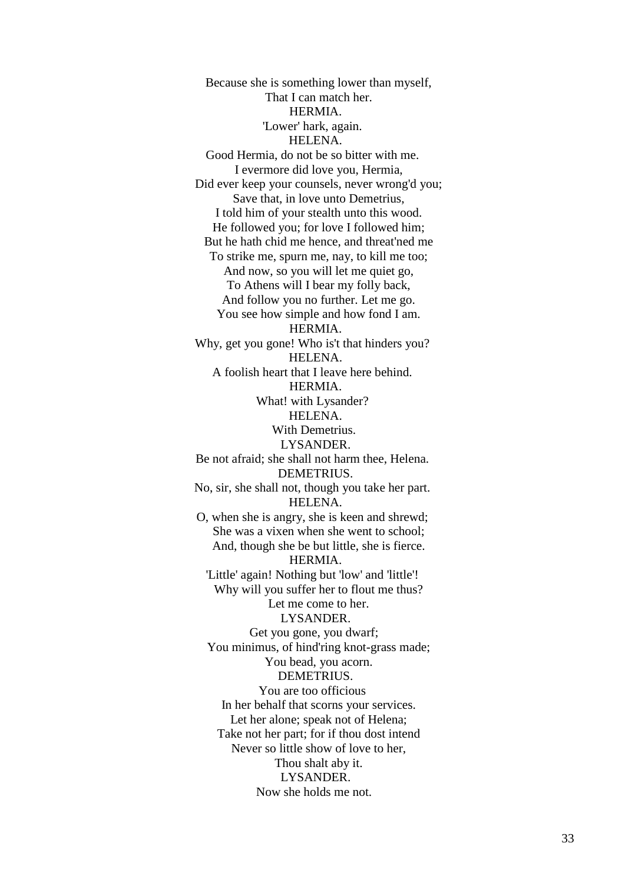Because she is something lower than myself, That I can match her. HERMIA. 'Lower' hark, again. HELENA. Good Hermia, do not be so bitter with me. I evermore did love you, Hermia, Did ever keep your counsels, never wrong'd you; Save that, in love unto Demetrius, I told him of your stealth unto this wood. He followed you; for love I followed him; But he hath chid me hence, and threat'ned me To strike me, spurn me, nay, to kill me too; And now, so you will let me quiet go, To Athens will I bear my folly back, And follow you no further. Let me go. You see how simple and how fond I am. HERMIA. Why, get you gone! Who is't that hinders you? HELENA. A foolish heart that I leave here behind. **HERMIA** What! with Lysander? HELENA. With Demetrius. LYSANDER. Be not afraid; she shall not harm thee, Helena. DEMETRIUS. No, sir, she shall not, though you take her part. HELENA. O, when she is angry, she is keen and shrewd; She was a vixen when she went to school; And, though she be but little, she is fierce. HERMIA. 'Little' again! Nothing but 'low' and 'little'! Why will you suffer her to flout me thus? Let me come to her. LYSANDER. Get you gone, you dwarf; You minimus, of hind'ring knot-grass made; You bead, you acorn. DEMETRIUS. You are too officious In her behalf that scorns your services. Let her alone; speak not of Helena; Take not her part; for if thou dost intend Never so little show of love to her, Thou shalt aby it. LYSANDER. Now she holds me not.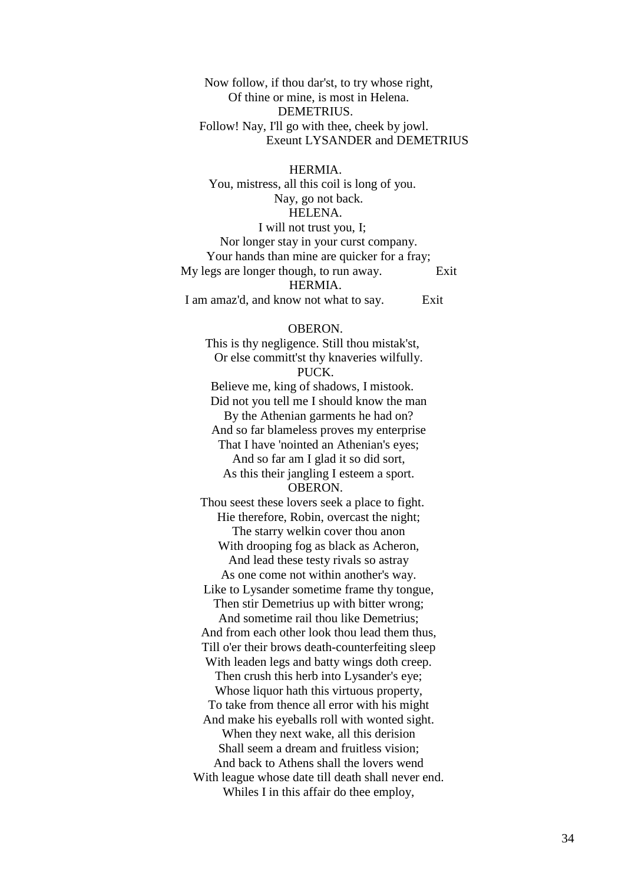Now follow, if thou dar'st, to try whose right, Of thine or mine, is most in Helena. DEMETRIUS. Follow! Nay, I'll go with thee, cheek by jowl. Exeunt LYSANDER and DEMETRIUS

 HERMIA. You, mistress, all this coil is long of you. Nay, go not back. HELENA. I will not trust you, I; Nor longer stay in your curst company. Your hands than mine are quicker for a fray; My legs are longer though, to run away. Exit HERMIA. I am amaz'd, and know not what to say. Exit

OBERON.

This is thy negligence. Still thou mistak'st, Or else committ'st thy knaveries wilfully. PUCK. Believe me, king of shadows, I mistook. Did not you tell me I should know the man By the Athenian garments he had on? And so far blameless proves my enterprise That I have 'nointed an Athenian's eyes; And so far am I glad it so did sort, As this their jangling I esteem a sport. OBERON. Thou seest these lovers seek a place to fight. Hie therefore, Robin, overcast the night; The starry welkin cover thou anon With drooping fog as black as Acheron, And lead these testy rivals so astray As one come not within another's way. Like to Lysander sometime frame thy tongue, Then stir Demetrius up with bitter wrong; And sometime rail thou like Demetrius; And from each other look thou lead them thus, Till o'er their brows death-counterfeiting sleep With leaden legs and batty wings doth creep. Then crush this herb into Lysander's eye; Whose liquor hath this virtuous property, To take from thence all error with his might And make his eyeballs roll with wonted sight. When they next wake, all this derision Shall seem a dream and fruitless vision; And back to Athens shall the lovers wend With league whose date till death shall never end. Whiles I in this affair do thee employ,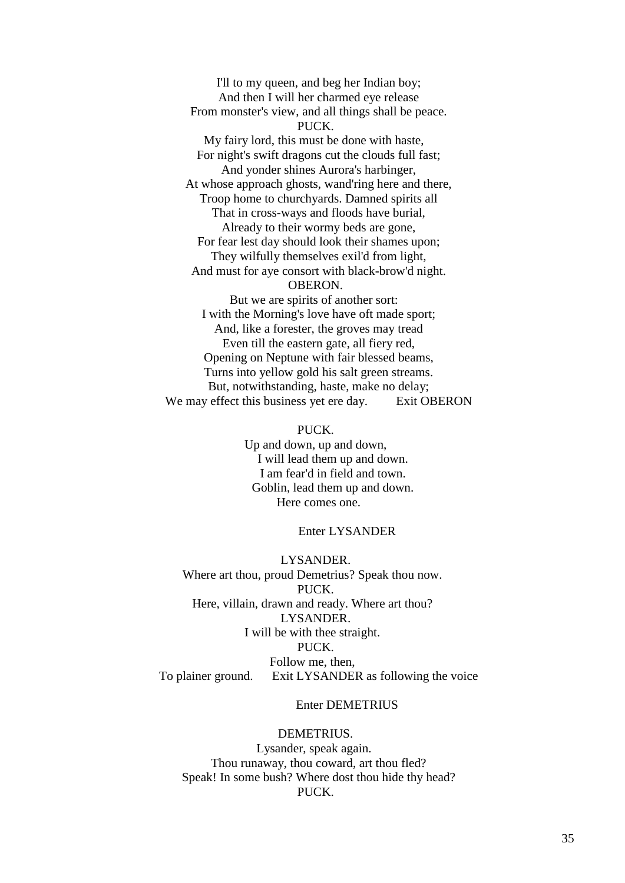I'll to my queen, and beg her Indian boy; And then I will her charmed eye release From monster's view, and all things shall be peace. PUCK. My fairy lord, this must be done with haste, For night's swift dragons cut the clouds full fast; And yonder shines Aurora's harbinger, At whose approach ghosts, wand'ring here and there, Troop home to churchyards. Damned spirits all That in cross-ways and floods have burial, Already to their wormy beds are gone, For fear lest day should look their shames upon; They wilfully themselves exil'd from light, And must for aye consort with black-brow'd night. OBERON. But we are spirits of another sort: I with the Morning's love have oft made sport; And, like a forester, the groves may tread Even till the eastern gate, all fiery red, Opening on Neptune with fair blessed beams, Turns into yellow gold his salt green streams.

 But, notwithstanding, haste, make no delay; We may effect this business yet ere day. Exit OBERON

# PUCK.

 Up and down, up and down, I will lead them up and down. I am fear'd in field and town. Goblin, lead them up and down. Here comes one.

#### Enter LYSANDER

 LYSANDER. Where art thou, proud Demetrius? Speak thou now. PUCK. Here, villain, drawn and ready. Where art thou? LYSANDER. I will be with thee straight. PUCK. Follow me, then, To plainer ground. Exit LYSANDER as following the voice

# Enter DEMETRIUS

# DEMETRIUS. Lysander, speak again. Thou runaway, thou coward, art thou fled? Speak! In some bush? Where dost thou hide thy head?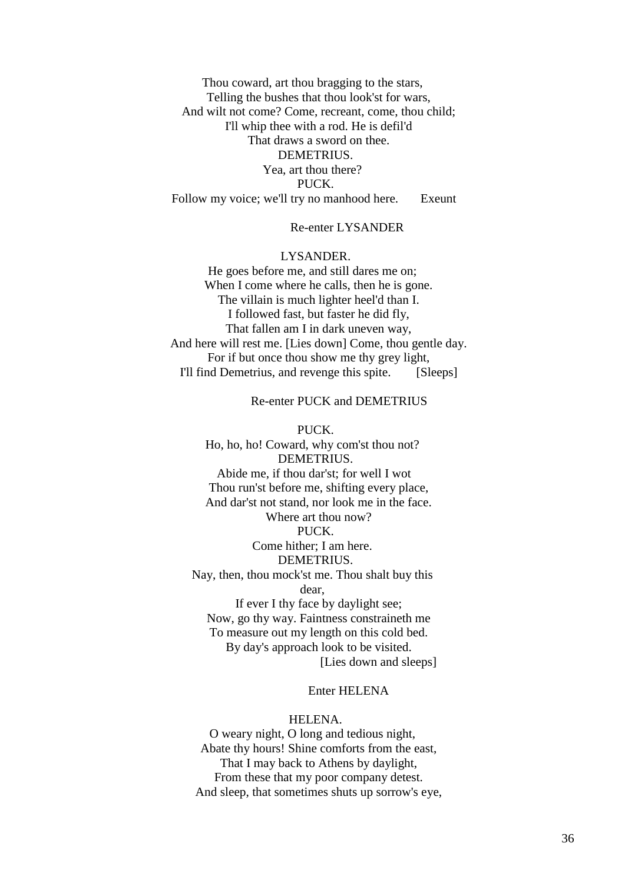Thou coward, art thou bragging to the stars, Telling the bushes that thou look'st for wars, And wilt not come? Come, recreant, come, thou child; I'll whip thee with a rod. He is defil'd That draws a sword on thee. DEMETRIUS. Yea, art thou there? PUCK. Follow my voice; we'll try no manhood here. Exeunt

# Re-enter LYSANDER

# LYSANDER.

He goes before me, and still dares me on; When I come where he calls, then he is gone. The villain is much lighter heel'd than I. I followed fast, but faster he did fly, That fallen am I in dark uneven way, And here will rest me. [Lies down] Come, thou gentle day. For if but once thou show me thy grey light, I'll find Demetrius, and revenge this spite. [Sleeps]

Re-enter PUCK and DEMETRIUS

 PUCK. Ho, ho, ho! Coward, why com'st thou not? DEMETRIUS. Abide me, if thou dar'st; for well I wot Thou run'st before me, shifting every place, And dar'st not stand, nor look me in the face. Where art thou now? PUCK. Come hither; I am here. DEMETRIUS. Nay, then, thou mock'st me. Thou shalt buy this dear, If ever I thy face by daylight see; Now, go thy way. Faintness constraineth me To measure out my length on this cold bed. By day's approach look to be visited. [Lies down and sleeps]

# Enter HELENA

# HELENA.

O weary night, O long and tedious night, Abate thy hours! Shine comforts from the east, That I may back to Athens by daylight, From these that my poor company detest. And sleep, that sometimes shuts up sorrow's eye,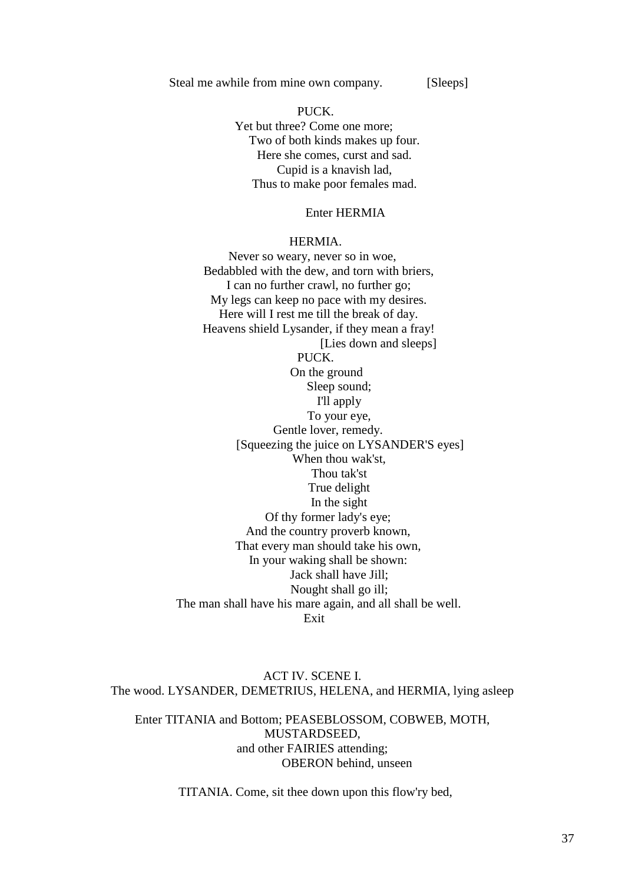Steal me awhile from mine own company. [Sleeps]

PUCK. Yet but three? Come one more; Two of both kinds makes up four. Here she comes, curst and sad. Cupid is a knavish lad, Thus to make poor females mad.

# Enter HERMIA

#### HERMIA.

Never so weary, never so in woe, Bedabbled with the dew, and torn with briers, I can no further crawl, no further go; My legs can keep no pace with my desires. Here will I rest me till the break of day. Heavens shield Lysander, if they mean a fray! [Lies down and sleeps] PUCK. On the ground Sleep sound; I'll apply To your eye, Gentle lover, remedy. [Squeezing the juice on LYSANDER'S eyes] When thou wak'st, Thou tak'st True delight In the sight Of thy former lady's eye; And the country proverb known, That every man should take his own, In your waking shall be shown: Jack shall have Jill; Nought shall go ill; The man shall have his mare again, and all shall be well. **Exit** 

ACT IV. SCENE I. The wood. LYSANDER, DEMETRIUS, HELENA, and HERMIA, lying asleep

Enter TITANIA and Bottom; PEASEBLOSSOM, COBWEB, MOTH, MUSTARDSEED, and other FAIRIES attending; OBERON behind, unseen

TITANIA. Come, sit thee down upon this flow'ry bed,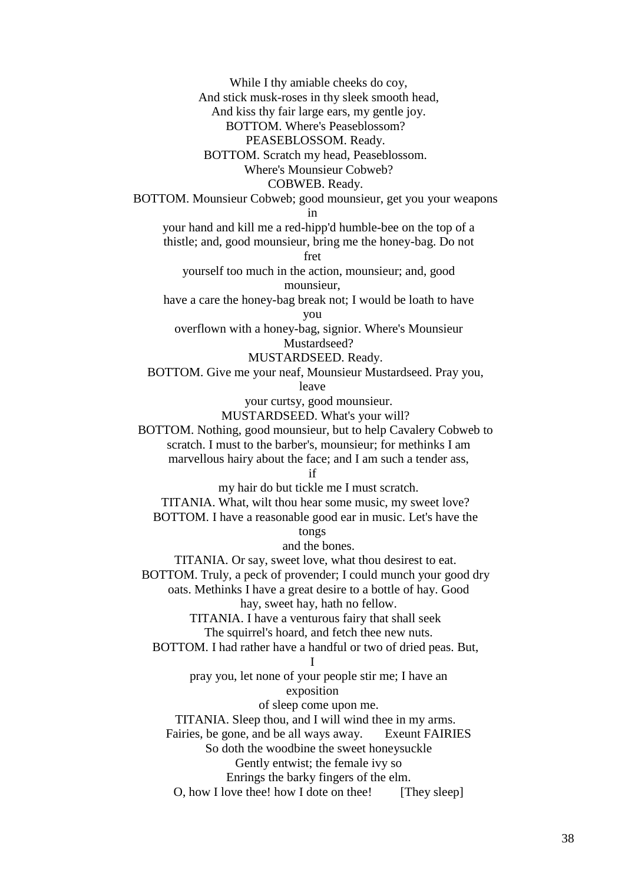While I thy amiable cheeks do coy, And stick musk-roses in thy sleek smooth head, And kiss thy fair large ears, my gentle joy. BOTTOM. Where's Peaseblossom? PEASEBLOSSOM. Ready. BOTTOM. Scratch my head, Peaseblossom. Where's Mounsieur Cobweb? COBWEB. Ready. BOTTOM. Mounsieur Cobweb; good mounsieur, get you your weapons in your hand and kill me a red-hipp'd humble-bee on the top of a thistle; and, good mounsieur, bring me the honey-bag. Do not fret yourself too much in the action, mounsieur; and, good mounsieur, have a care the honey-bag break not; I would be loath to have you overflown with a honey-bag, signior. Where's Mounsieur Mustardseed? MUSTARDSEED. Ready. BOTTOM. Give me your neaf, Mounsieur Mustardseed. Pray you, leave your curtsy, good mounsieur. MUSTARDSEED. What's your will? BOTTOM. Nothing, good mounsieur, but to help Cavalery Cobweb to scratch. I must to the barber's, mounsieur; for methinks I am marvellous hairy about the face; and I am such a tender ass, if my hair do but tickle me I must scratch. TITANIA. What, wilt thou hear some music, my sweet love? BOTTOM. I have a reasonable good ear in music. Let's have the tongs and the bones. TITANIA. Or say, sweet love, what thou desirest to eat. BOTTOM. Truly, a peck of provender; I could munch your good dry oats. Methinks I have a great desire to a bottle of hay. Good hay, sweet hay, hath no fellow. TITANIA. I have a venturous fairy that shall seek The squirrel's hoard, and fetch thee new nuts. BOTTOM. I had rather have a handful or two of dried peas. But, I pray you, let none of your people stir me; I have an exposition of sleep come upon me. TITANIA. Sleep thou, and I will wind thee in my arms. Fairies, be gone, and be all ways away. Exeunt FAIRIES So doth the woodbine the sweet honeysuckle Gently entwist; the female ivy so Enrings the barky fingers of the elm. O, how I love thee! how I dote on thee! [They sleep]

38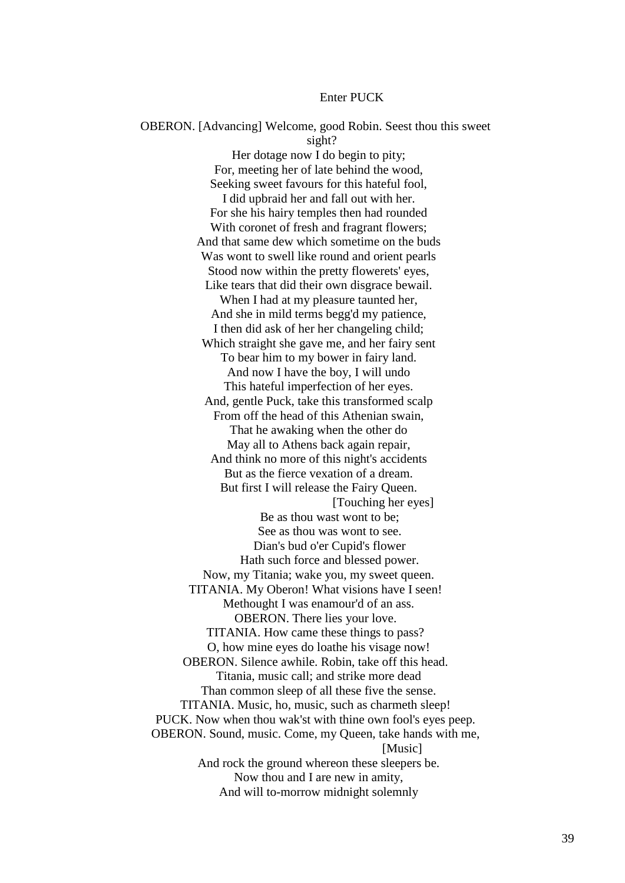#### Enter PUCK

 OBERON. [Advancing] Welcome, good Robin. Seest thou this sweet sight? Her dotage now I do begin to pity; For, meeting her of late behind the wood, Seeking sweet favours for this hateful fool, I did upbraid her and fall out with her. For she his hairy temples then had rounded With coronet of fresh and fragrant flowers; And that same dew which sometime on the buds Was wont to swell like round and orient pearls Stood now within the pretty flowerets' eyes, Like tears that did their own disgrace bewail. When I had at my pleasure taunted her, And she in mild terms begg'd my patience, I then did ask of her her changeling child; Which straight she gave me, and her fairy sent To bear him to my bower in fairy land. And now I have the boy, I will undo This hateful imperfection of her eyes. And, gentle Puck, take this transformed scalp From off the head of this Athenian swain, That he awaking when the other do May all to Athens back again repair, And think no more of this night's accidents But as the fierce vexation of a dream. But first I will release the Fairy Queen. [Touching her eyes] Be as thou wast wont to be; See as thou was wont to see. Dian's bud o'er Cupid's flower Hath such force and blessed power. Now, my Titania; wake you, my sweet queen. TITANIA. My Oberon! What visions have I seen! Methought I was enamour'd of an ass. OBERON. There lies your love. TITANIA. How came these things to pass? O, how mine eyes do loathe his visage now! OBERON. Silence awhile. Robin, take off this head. Titania, music call; and strike more dead Than common sleep of all these five the sense. TITANIA. Music, ho, music, such as charmeth sleep! PUCK. Now when thou wak'st with thine own fool's eyes peep. OBERON. Sound, music. Come, my Queen, take hands with me, [Music] And rock the ground whereon these sleepers be. Now thou and I are new in amity, And will to-morrow midnight solemnly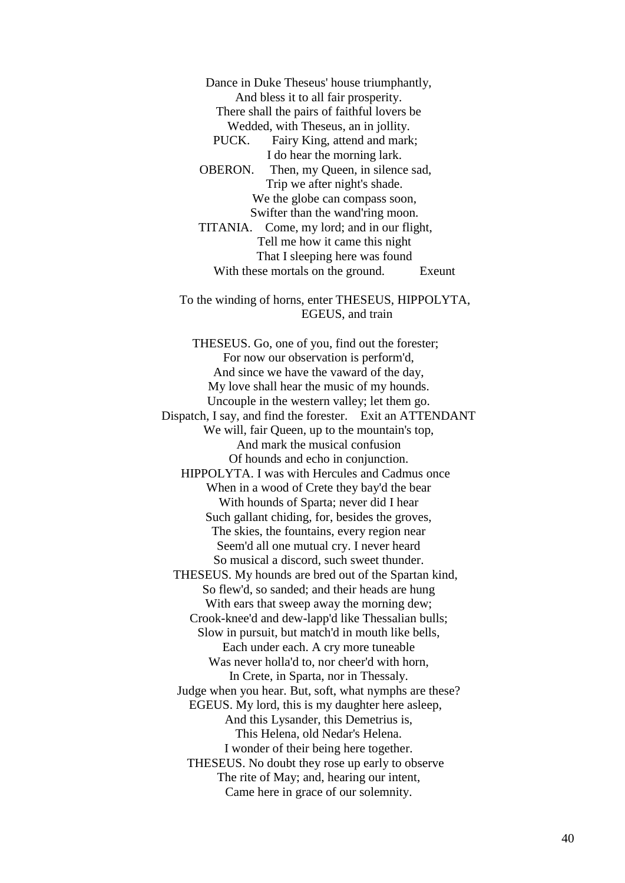Dance in Duke Theseus' house triumphantly, And bless it to all fair prosperity. There shall the pairs of faithful lovers be Wedded, with Theseus, an in jollity.

 PUCK. Fairy King, attend and mark; I do hear the morning lark.

 OBERON. Then, my Queen, in silence sad, Trip we after night's shade. We the globe can compass soon, Swifter than the wand'ring moon.

 TITANIA. Come, my lord; and in our flight, Tell me how it came this night That I sleeping here was found With these mortals on the ground. Exeunt

 To the winding of horns, enter THESEUS, HIPPOLYTA, EGEUS, and train

 THESEUS. Go, one of you, find out the forester; For now our observation is perform'd, And since we have the vaward of the day, My love shall hear the music of my hounds. Uncouple in the western valley; let them go. Dispatch, I say, and find the forester. Exit an ATTENDANT We will, fair Queen, up to the mountain's top, And mark the musical confusion Of hounds and echo in conjunction. HIPPOLYTA. I was with Hercules and Cadmus once When in a wood of Crete they bay'd the bear With hounds of Sparta; never did I hear Such gallant chiding, for, besides the groves, The skies, the fountains, every region near Seem'd all one mutual cry. I never heard So musical a discord, such sweet thunder. THESEUS. My hounds are bred out of the Spartan kind, So flew'd, so sanded; and their heads are hung With ears that sweep away the morning dew; Crook-knee'd and dew-lapp'd like Thessalian bulls; Slow in pursuit, but match'd in mouth like bells, Each under each. A cry more tuneable Was never holla'd to, nor cheer'd with horn, In Crete, in Sparta, nor in Thessaly. Judge when you hear. But, soft, what nymphs are these? EGEUS. My lord, this is my daughter here asleep, And this Lysander, this Demetrius is, This Helena, old Nedar's Helena. I wonder of their being here together. THESEUS. No doubt they rose up early to observe The rite of May; and, hearing our intent, Came here in grace of our solemnity.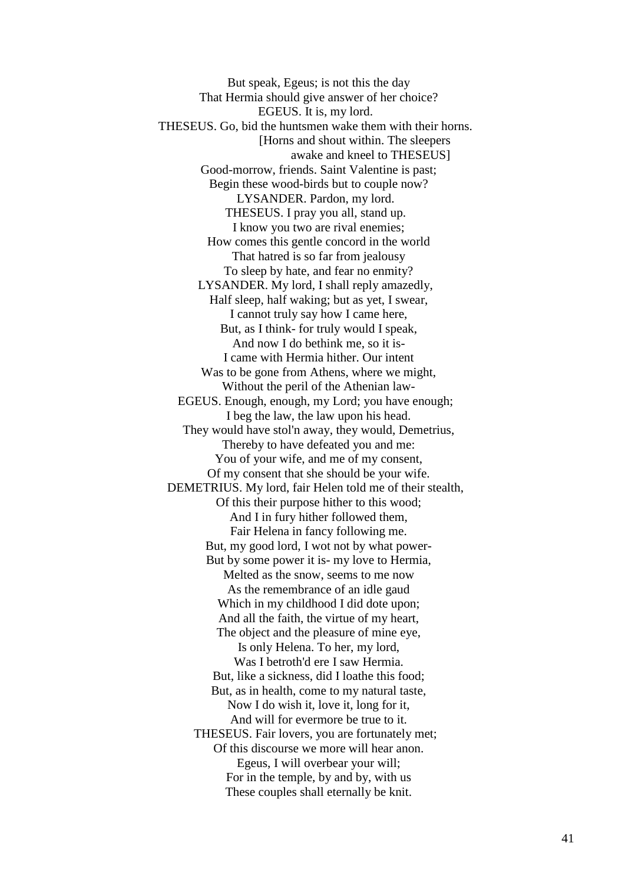But speak, Egeus; is not this the day That Hermia should give answer of her choice? EGEUS. It is, my lord. THESEUS. Go, bid the huntsmen wake them with their horns. [Horns and shout within. The sleepers awake and kneel to THESEUS] Good-morrow, friends. Saint Valentine is past; Begin these wood-birds but to couple now? LYSANDER. Pardon, my lord. THESEUS. I pray you all, stand up. I know you two are rival enemies; How comes this gentle concord in the world That hatred is so far from jealousy To sleep by hate, and fear no enmity? LYSANDER. My lord, I shall reply amazedly, Half sleep, half waking; but as yet, I swear, I cannot truly say how I came here, But, as I think- for truly would I speak, And now I do bethink me, so it is- I came with Hermia hither. Our intent Was to be gone from Athens, where we might, Without the peril of the Athenian law- EGEUS. Enough, enough, my Lord; you have enough; I beg the law, the law upon his head. They would have stol'n away, they would, Demetrius, Thereby to have defeated you and me: You of your wife, and me of my consent, Of my consent that she should be your wife. DEMETRIUS. My lord, fair Helen told me of their stealth, Of this their purpose hither to this wood; And I in fury hither followed them, Fair Helena in fancy following me. But, my good lord, I wot not by what power- But by some power it is- my love to Hermia, Melted as the snow, seems to me now As the remembrance of an idle gaud Which in my childhood I did dote upon; And all the faith, the virtue of my heart, The object and the pleasure of mine eye, Is only Helena. To her, my lord, Was I betroth'd ere I saw Hermia. But, like a sickness, did I loathe this food; But, as in health, come to my natural taste, Now I do wish it, love it, long for it, And will for evermore be true to it. THESEUS. Fair lovers, you are fortunately met; Of this discourse we more will hear anon. Egeus, I will overbear your will; For in the temple, by and by, with us These couples shall eternally be knit.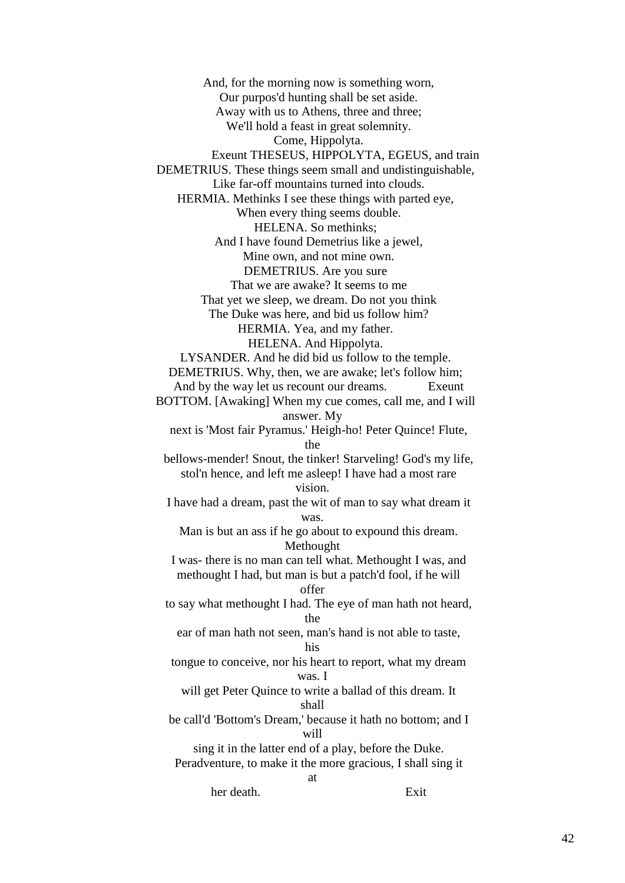And, for the morning now is something worn, Our purpos'd hunting shall be set aside. Away with us to Athens, three and three; We'll hold a feast in great solemnity. Come, Hippolyta. Exeunt THESEUS, HIPPOLYTA, EGEUS, and train DEMETRIUS. These things seem small and undistinguishable, Like far-off mountains turned into clouds. HERMIA. Methinks I see these things with parted eye, When every thing seems double. HELENA. So methinks; And I have found Demetrius like a jewel, Mine own, and not mine own. DEMETRIUS. Are you sure That we are awake? It seems to me That yet we sleep, we dream. Do not you think The Duke was here, and bid us follow him? HERMIA. Yea, and my father. HELENA. And Hippolyta. LYSANDER. And he did bid us follow to the temple. DEMETRIUS. Why, then, we are awake; let's follow him; And by the way let us recount our dreams. Exeunt BOTTOM. [Awaking] When my cue comes, call me, and I will answer. My next is 'Most fair Pyramus.' Heigh-ho! Peter Quince! Flute, the bellows-mender! Snout, the tinker! Starveling! God's my life, stol'n hence, and left me asleep! I have had a most rare vision. I have had a dream, past the wit of man to say what dream it was. Man is but an ass if he go about to expound this dream. Methought I was- there is no man can tell what. Methought I was, and methought I had, but man is but a patch'd fool, if he will offer to say what methought I had. The eye of man hath not heard, the ear of man hath not seen, man's hand is not able to taste, his tongue to conceive, nor his heart to report, what my dream was. I will get Peter Quince to write a ballad of this dream. It shall be call'd 'Bottom's Dream,' because it hath no bottom; and I will sing it in the latter end of a play, before the Duke. Peradventure, to make it the more gracious, I shall sing it at

her death. Exit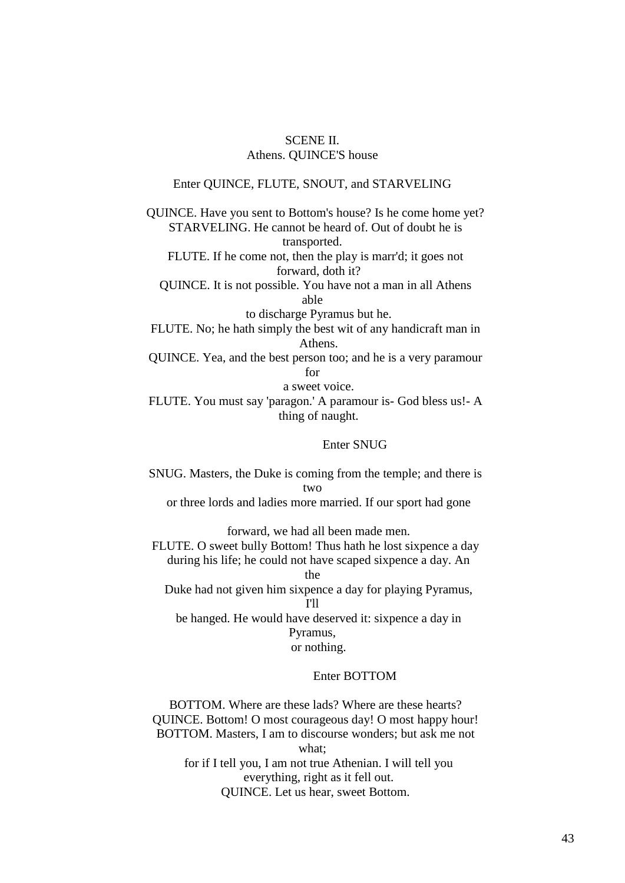# SCENE II. Athens. QUINCE'S house

#### Enter QUINCE, FLUTE, SNOUT, and STARVELING

 QUINCE. Have you sent to Bottom's house? Is he come home yet? STARVELING. He cannot be heard of. Out of doubt he is transported.

 FLUTE. If he come not, then the play is marr'd; it goes not forward, doth it?

 QUINCE. It is not possible. You have not a man in all Athens able

to discharge Pyramus but he.

 FLUTE. No; he hath simply the best wit of any handicraft man in Athens.

 QUINCE. Yea, and the best person too; and he is a very paramour for

a sweet voice.

 FLUTE. You must say 'paragon.' A paramour is- God bless us!- A thing of naught.

# Enter SNUG

 SNUG. Masters, the Duke is coming from the temple; and there is two or three lords and ladies more married. If our sport had gone

 forward, we had all been made men. FLUTE. O sweet bully Bottom! Thus hath he lost sixpence a day during his life; he could not have scaped sixpence a day. An the

 Duke had not given him sixpence a day for playing Pyramus, I'll

 be hanged. He would have deserved it: sixpence a day in Pyramus, or nothing.

# Enter BOTTOM

 BOTTOM. Where are these lads? Where are these hearts? QUINCE. Bottom! O most courageous day! O most happy hour! BOTTOM. Masters, I am to discourse wonders; but ask me not what;

 for if I tell you, I am not true Athenian. I will tell you everything, right as it fell out. QUINCE. Let us hear, sweet Bottom.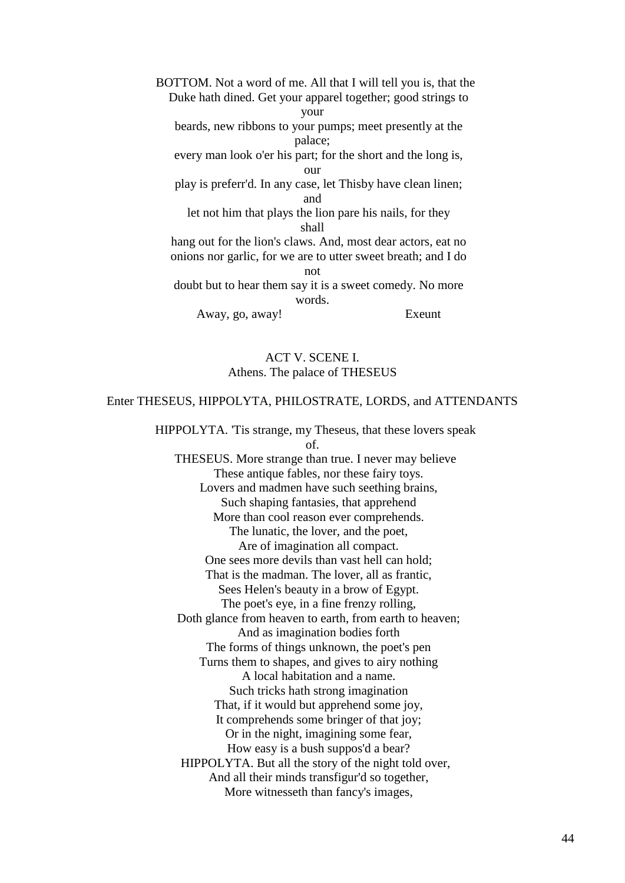BOTTOM. Not a word of me. All that I will tell you is, that the Duke hath dined. Get your apparel together; good strings to your beards, new ribbons to your pumps; meet presently at the palace; every man look o'er his part; for the short and the long is, our play is preferr'd. In any case, let Thisby have clean linen; and let not him that plays the lion pare his nails, for they shall hang out for the lion's claws. And, most dear actors, eat no onions nor garlic, for we are to utter sweet breath; and I do not doubt but to hear them say it is a sweet comedy. No more words.

Away, go, away! Exeunt

# ACT V. SCENE I. Athens. The palace of THESEUS

#### Enter THESEUS, HIPPOLYTA, PHILOSTRATE, LORDS, and ATTENDANTS

 HIPPOLYTA. 'Tis strange, my Theseus, that these lovers speak of.

 THESEUS. More strange than true. I never may believe These antique fables, nor these fairy toys. Lovers and madmen have such seething brains, Such shaping fantasies, that apprehend More than cool reason ever comprehends. The lunatic, the lover, and the poet, Are of imagination all compact. One sees more devils than vast hell can hold; That is the madman. The lover, all as frantic, Sees Helen's beauty in a brow of Egypt. The poet's eye, in a fine frenzy rolling, Doth glance from heaven to earth, from earth to heaven; And as imagination bodies forth The forms of things unknown, the poet's pen Turns them to shapes, and gives to airy nothing A local habitation and a name. Such tricks hath strong imagination That, if it would but apprehend some joy, It comprehends some bringer of that joy; Or in the night, imagining some fear, How easy is a bush suppos'd a bear? HIPPOLYTA. But all the story of the night told over, And all their minds transfigur'd so together, More witnesseth than fancy's images,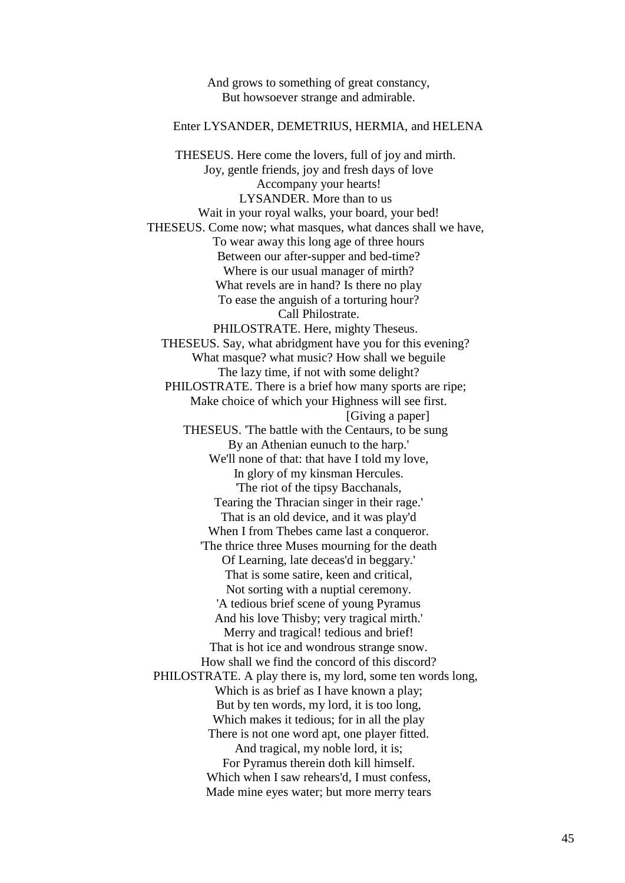And grows to something of great constancy, But howsoever strange and admirable.

# Enter LYSANDER, DEMETRIUS, HERMIA, and HELENA

 THESEUS. Here come the lovers, full of joy and mirth. Joy, gentle friends, joy and fresh days of love Accompany your hearts! LYSANDER. More than to us Wait in your royal walks, your board, your bed! THESEUS. Come now; what masques, what dances shall we have, To wear away this long age of three hours Between our after-supper and bed-time? Where is our usual manager of mirth? What revels are in hand? Is there no play To ease the anguish of a torturing hour? Call Philostrate. PHILOSTRATE. Here, mighty Theseus. THESEUS. Say, what abridgment have you for this evening? What masque? what music? How shall we beguile The lazy time, if not with some delight? PHILOSTRATE. There is a brief how many sports are ripe; Make choice of which your Highness will see first. [Giving a paper] THESEUS. 'The battle with the Centaurs, to be sung By an Athenian eunuch to the harp.' We'll none of that: that have I told my love, In glory of my kinsman Hercules. 'The riot of the tipsy Bacchanals, Tearing the Thracian singer in their rage.' That is an old device, and it was play'd When I from Thebes came last a conqueror. 'The thrice three Muses mourning for the death Of Learning, late deceas'd in beggary.' That is some satire, keen and critical, Not sorting with a nuptial ceremony. 'A tedious brief scene of young Pyramus And his love Thisby; very tragical mirth.' Merry and tragical! tedious and brief! That is hot ice and wondrous strange snow. How shall we find the concord of this discord? PHILOSTRATE. A play there is, my lord, some ten words long, Which is as brief as I have known a play; But by ten words, my lord, it is too long, Which makes it tedious; for in all the play There is not one word apt, one player fitted. And tragical, my noble lord, it is; For Pyramus therein doth kill himself. Which when I saw rehears'd, I must confess, Made mine eyes water; but more merry tears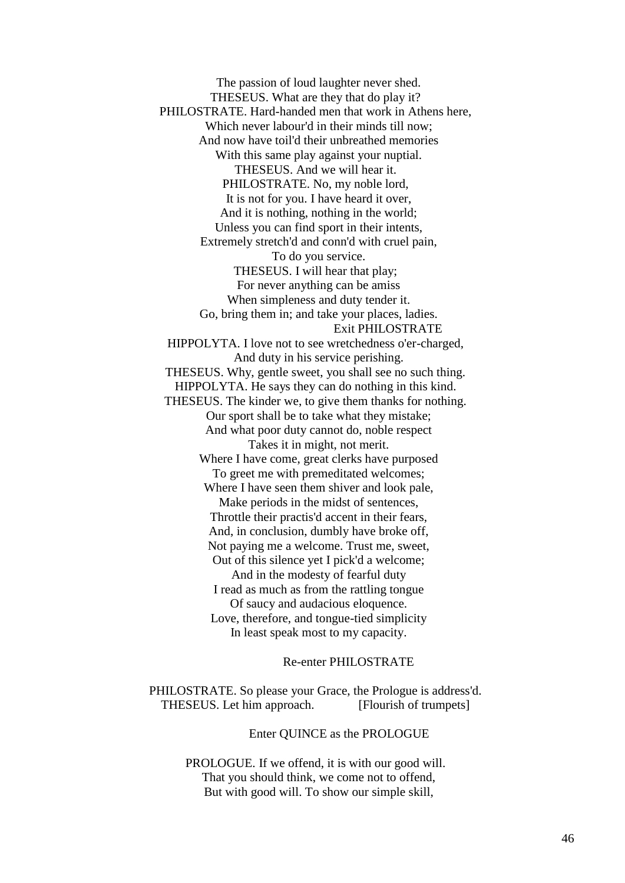The passion of loud laughter never shed. THESEUS. What are they that do play it? PHILOSTRATE. Hard-handed men that work in Athens here, Which never labour'd in their minds till now; And now have toil'd their unbreathed memories With this same play against your nuptial. THESEUS. And we will hear it. PHILOSTRATE. No, my noble lord, It is not for you. I have heard it over, And it is nothing, nothing in the world; Unless you can find sport in their intents, Extremely stretch'd and conn'd with cruel pain, To do you service. THESEUS. I will hear that play; For never anything can be amiss When simpleness and duty tender it. Go, bring them in; and take your places, ladies. Exit PHILOSTRATE HIPPOLYTA. I love not to see wretchedness o'er-charged, And duty in his service perishing. THESEUS. Why, gentle sweet, you shall see no such thing. HIPPOLYTA. He says they can do nothing in this kind. THESEUS. The kinder we, to give them thanks for nothing. Our sport shall be to take what they mistake; And what poor duty cannot do, noble respect Takes it in might, not merit. Where I have come, great clerks have purposed To greet me with premeditated welcomes; Where I have seen them shiver and look pale, Make periods in the midst of sentences, Throttle their practis'd accent in their fears, And, in conclusion, dumbly have broke off, Not paying me a welcome. Trust me, sweet, Out of this silence yet I pick'd a welcome; And in the modesty of fearful duty I read as much as from the rattling tongue Of saucy and audacious eloquence. Love, therefore, and tongue-tied simplicity In least speak most to my capacity.

Re-enter PHILOSTRATE

 PHILOSTRATE. So please your Grace, the Prologue is address'd. THESEUS. Let him approach. [Flourish of trumpets]

Enter QUINCE as the PROLOGUE

 PROLOGUE. If we offend, it is with our good will. That you should think, we come not to offend, But with good will. To show our simple skill,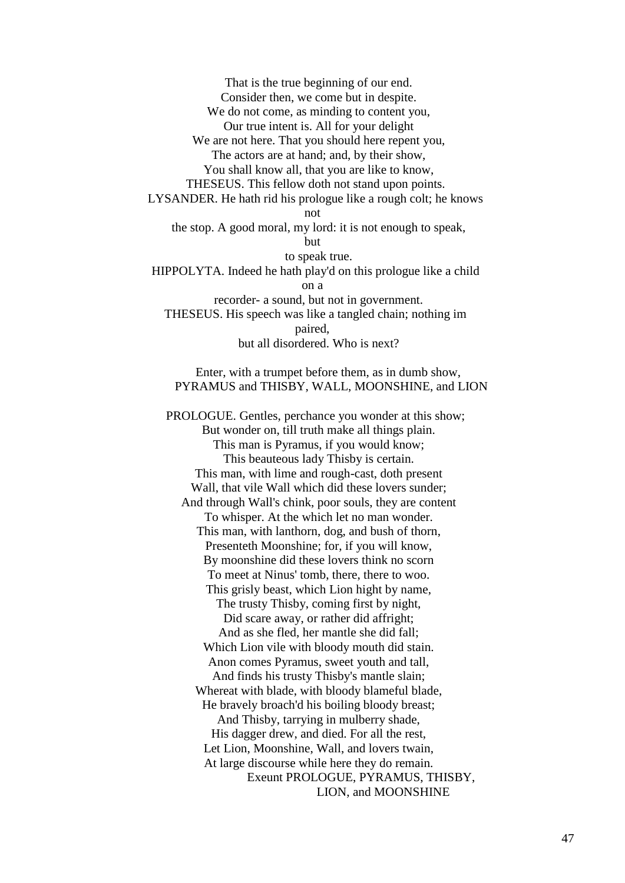That is the true beginning of our end. Consider then, we come but in despite. We do not come, as minding to content you, Our true intent is. All for your delight We are not here. That you should here repent you, The actors are at hand; and, by their show, You shall know all, that you are like to know, THESEUS. This fellow doth not stand upon points. LYSANDER. He hath rid his prologue like a rough colt; he knows not the stop. A good moral, my lord: it is not enough to speak, but to speak true. HIPPOLYTA. Indeed he hath play'd on this prologue like a child on a recorder- a sound, but not in government. THESEUS. His speech was like a tangled chain; nothing im paired, but all disordered. Who is next? Enter, with a trumpet before them, as in dumb show, PYRAMUS and THISBY, WALL, MOONSHINE, and LION

 PROLOGUE. Gentles, perchance you wonder at this show; But wonder on, till truth make all things plain. This man is Pyramus, if you would know; This beauteous lady Thisby is certain. This man, with lime and rough-cast, doth present Wall, that vile Wall which did these lovers sunder; And through Wall's chink, poor souls, they are content To whisper. At the which let no man wonder. This man, with lanthorn, dog, and bush of thorn, Presenteth Moonshine; for, if you will know, By moonshine did these lovers think no scorn To meet at Ninus' tomb, there, there to woo. This grisly beast, which Lion hight by name, The trusty Thisby, coming first by night, Did scare away, or rather did affright; And as she fled, her mantle she did fall; Which Lion vile with bloody mouth did stain. Anon comes Pyramus, sweet youth and tall, And finds his trusty Thisby's mantle slain; Whereat with blade, with bloody blameful blade, He bravely broach'd his boiling bloody breast; And Thisby, tarrying in mulberry shade, His dagger drew, and died. For all the rest, Let Lion, Moonshine, Wall, and lovers twain, At large discourse while here they do remain. Exeunt PROLOGUE, PYRAMUS, THISBY, LION, and MOONSHINE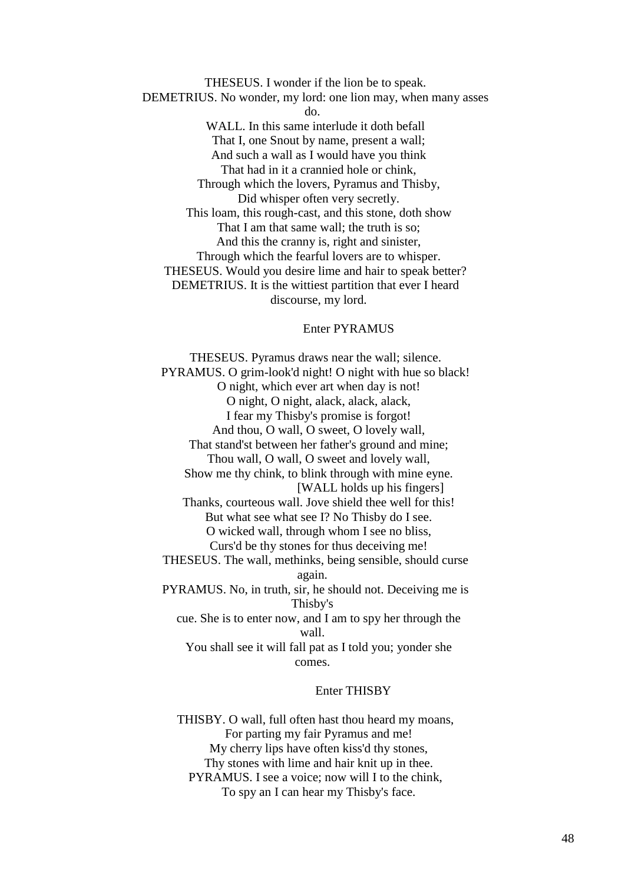THESEUS. I wonder if the lion be to speak. DEMETRIUS. No wonder, my lord: one lion may, when many asses do. WALL. In this same interlude it doth befall That I, one Snout by name, present a wall; And such a wall as I would have you think That had in it a crannied hole or chink, Through which the lovers, Pyramus and Thisby, Did whisper often very secretly. This loam, this rough-cast, and this stone, doth show That I am that same wall; the truth is so; And this the cranny is, right and sinister, Through which the fearful lovers are to whisper. THESEUS. Would you desire lime and hair to speak better? DEMETRIUS. It is the wittiest partition that ever I heard discourse, my lord.

## Enter PYRAMUS

 THESEUS. Pyramus draws near the wall; silence. PYRAMUS. O grim-look'd night! O night with hue so black! O night, which ever art when day is not! O night, O night, alack, alack, alack, I fear my Thisby's promise is forgot! And thou, O wall, O sweet, O lovely wall, That stand'st between her father's ground and mine; Thou wall, O wall, O sweet and lovely wall, Show me thy chink, to blink through with mine eyne. [WALL holds up his fingers] Thanks, courteous wall. Jove shield thee well for this! But what see what see I? No Thisby do I see. O wicked wall, through whom I see no bliss, Curs'd be thy stones for thus deceiving me! THESEUS. The wall, methinks, being sensible, should curse again. PYRAMUS. No, in truth, sir, he should not. Deceiving me is Thisby's cue. She is to enter now, and I am to spy her through the wall. You shall see it will fall pat as I told you; yonder she comes.

#### Enter THISBY

 THISBY. O wall, full often hast thou heard my moans, For parting my fair Pyramus and me! My cherry lips have often kiss'd thy stones, Thy stones with lime and hair knit up in thee. PYRAMUS. I see a voice; now will I to the chink, To spy an I can hear my Thisby's face.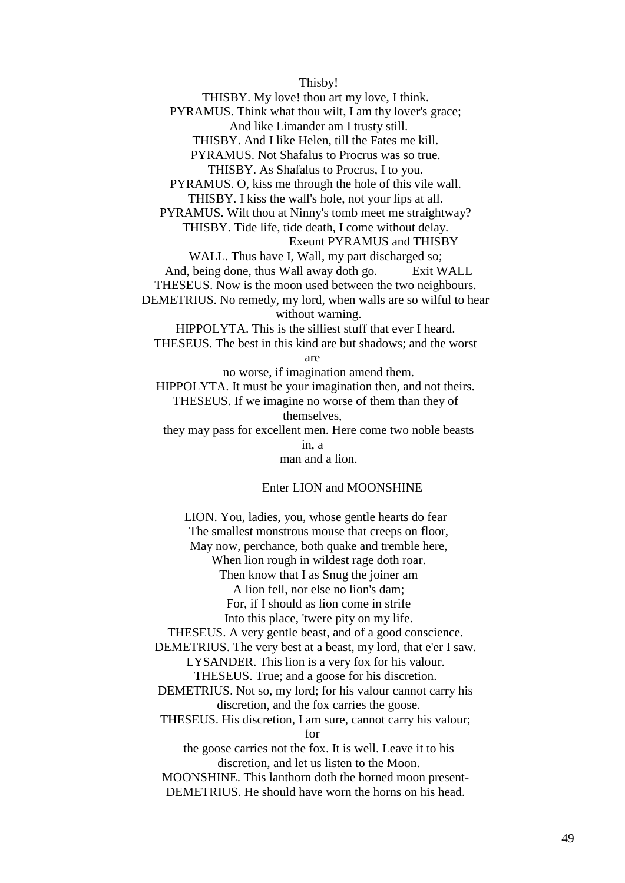Thisby!

 THISBY. My love! thou art my love, I think. PYRAMUS. Think what thou wilt, I am thy lover's grace; And like Limander am I trusty still. THISBY. And I like Helen, till the Fates me kill. PYRAMUS. Not Shafalus to Procrus was so true. THISBY. As Shafalus to Procrus, I to you. PYRAMUS. O, kiss me through the hole of this vile wall. THISBY. I kiss the wall's hole, not your lips at all. PYRAMUS. Wilt thou at Ninny's tomb meet me straightway? THISBY. Tide life, tide death, I come without delay. Exeunt PYRAMUS and THISBY WALL. Thus have I, Wall, my part discharged so; And, being done, thus Wall away doth go. Exit WALL THESEUS. Now is the moon used between the two neighbours. DEMETRIUS. No remedy, my lord, when walls are so wilful to hear without warning. HIPPOLYTA. This is the silliest stuff that ever I heard. THESEUS. The best in this kind are but shadows; and the worst are no worse, if imagination amend them. HIPPOLYTA. It must be your imagination then, and not theirs.

 THESEUS. If we imagine no worse of them than they of themselves, they may pass for excellent men. Here come two noble beasts

> in, a man and a lion.

# Enter LION and MOONSHINE

 LION. You, ladies, you, whose gentle hearts do fear The smallest monstrous mouse that creeps on floor, May now, perchance, both quake and tremble here, When lion rough in wildest rage doth roar. Then know that I as Snug the joiner am A lion fell, nor else no lion's dam; For, if I should as lion come in strife Into this place, 'twere pity on my life. THESEUS. A very gentle beast, and of a good conscience. DEMETRIUS. The very best at a beast, my lord, that e'er I saw. LYSANDER. This lion is a very fox for his valour. THESEUS. True; and a goose for his discretion. DEMETRIUS. Not so, my lord; for his valour cannot carry his discretion, and the fox carries the goose. THESEUS. His discretion, I am sure, cannot carry his valour;  $for$  the goose carries not the fox. It is well. Leave it to his discretion, and let us listen to the Moon. MOONSHINE. This lanthorn doth the horned moon present- DEMETRIUS. He should have worn the horns on his head.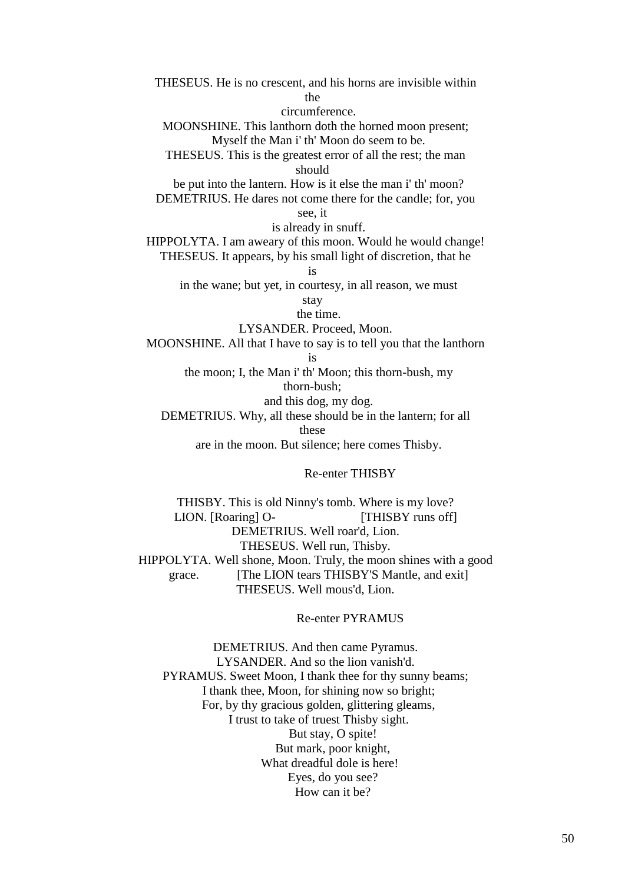THESEUS. He is no crescent, and his horns are invisible within the

circumference.

 MOONSHINE. This lanthorn doth the horned moon present; Myself the Man i' th' Moon do seem to be.

 THESEUS. This is the greatest error of all the rest; the man should

 be put into the lantern. How is it else the man i' th' moon? DEMETRIUS. He dares not come there for the candle; for, you

see, it

is already in snuff.

 HIPPOLYTA. I am aweary of this moon. Would he would change! THESEUS. It appears, by his small light of discretion, that he

is

in the wane; but yet, in courtesy, in all reason, we must

stay

the time.

LYSANDER. Proceed, Moon.

MOONSHINE. All that I have to say is to tell you that the lanthorn

is

 the moon; I, the Man i' th' Moon; this thorn-bush, my thorn-bush;

and this dog, my dog.

DEMETRIUS. Why, all these should be in the lantern; for all

these

are in the moon. But silence; here comes Thisby.

Re-enter THISBY

 THISBY. This is old Ninny's tomb. Where is my love? LION. [Roaring] O- [THISBY runs off] DEMETRIUS. Well roar'd, Lion. THESEUS. Well run, Thisby. HIPPOLYTA. Well shone, Moon. Truly, the moon shines with a good grace. [The LION tears THISBY'S Mantle, and exit] THESEUS. Well mous'd, Lion.

Re-enter PYRAMUS

 DEMETRIUS. And then came Pyramus. LYSANDER. And so the lion vanish'd. PYRAMUS. Sweet Moon, I thank thee for thy sunny beams; I thank thee, Moon, for shining now so bright; For, by thy gracious golden, glittering gleams, I trust to take of truest Thisby sight. But stay, O spite! But mark, poor knight, What dreadful dole is here! Eyes, do you see? How can it be?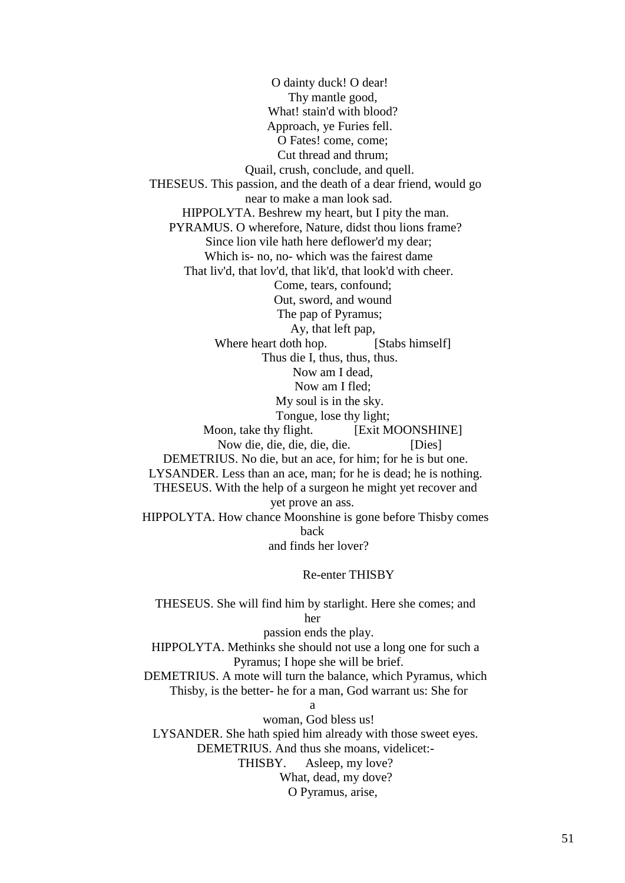O dainty duck! O dear! Thy mantle good, What! stain'd with blood? Approach, ye Furies fell. O Fates! come, come; Cut thread and thrum; Quail, crush, conclude, and quell. THESEUS. This passion, and the death of a dear friend, would go near to make a man look sad. HIPPOLYTA. Beshrew my heart, but I pity the man. PYRAMUS. O wherefore, Nature, didst thou lions frame? Since lion vile hath here deflower'd my dear; Which is- no, no- which was the fairest dame That liv'd, that lov'd, that lik'd, that look'd with cheer. Come, tears, confound; Out, sword, and wound The pap of Pyramus; Ay, that left pap, Where heart doth hop. [Stabs himself] Thus die I, thus, thus, thus. Now am I dead, Now am I fled; My soul is in the sky. Tongue, lose thy light; Moon, take thy flight. [Exit MOONSHINE] Now die, die, die, die, die. [Dies] DEMETRIUS. No die, but an ace, for him; for he is but one. LYSANDER. Less than an ace, man; for he is dead; he is nothing. THESEUS. With the help of a surgeon he might yet recover and yet prove an ass. HIPPOLYTA. How chance Moonshine is gone before Thisby comes back and finds her lover?

Re-enter THISBY

 THESEUS. She will find him by starlight. Here she comes; and her passion ends the play. HIPPOLYTA. Methinks she should not use a long one for such a Pyramus; I hope she will be brief. DEMETRIUS. A mote will turn the balance, which Pyramus, which Thisby, is the better- he for a man, God warrant us: She for a woman, God bless us!

 LYSANDER. She hath spied him already with those sweet eyes. DEMETRIUS. And thus she moans, videlicet:- THISBY. Asleep, my love? What, dead, my dove?

O Pyramus, arise,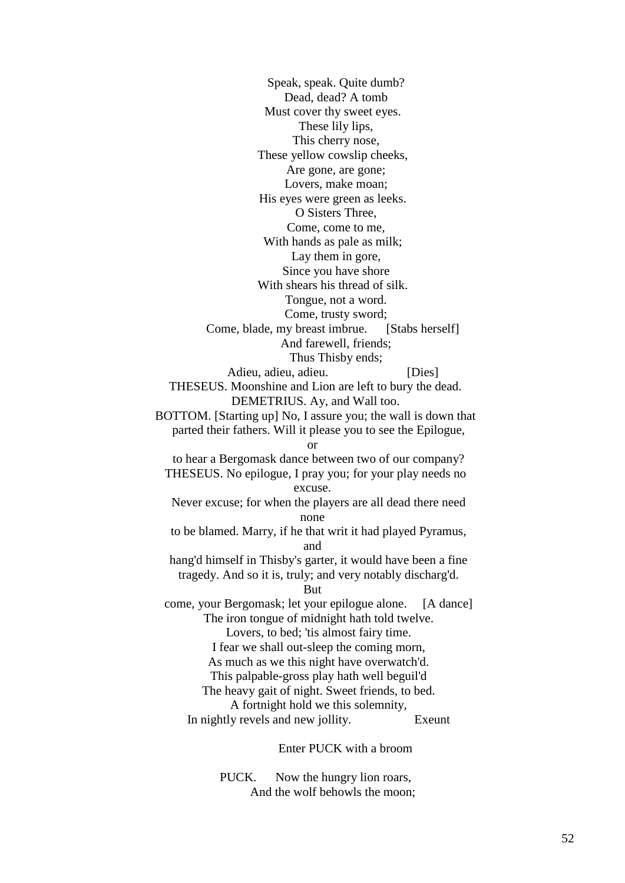Speak, speak. Quite dumb? Dead, dead? A tomb Must cover thy sweet eyes. These lily lips, This cherry nose, These yellow cowslip cheeks, Are gone, are gone; Lovers, make moan; His eyes were green as leeks. O Sisters Three, Come, come to me, With hands as pale as milk; Lay them in gore, Since you have shore With shears his thread of silk. Tongue, not a word. Come, trusty sword; Come, blade, my breast imbrue. [Stabs herself] And farewell, friends; Thus Thisby ends; Adieu, adieu, adieu. [Dies] THESEUS. Moonshine and Lion are left to bury the dead. DEMETRIUS. Ay, and Wall too. BOTTOM. [Starting up] No, I assure you; the wall is down that parted their fathers. Will it please you to see the Epilogue, or to hear a Bergomask dance between two of our company? THESEUS. No epilogue, I pray you; for your play needs no excuse. Never excuse; for when the players are all dead there need none to be blamed. Marry, if he that writ it had played Pyramus, and hang'd himself in Thisby's garter, it would have been a fine tragedy. And so it is, truly; and very notably discharg'd. But come, your Bergomask; let your epilogue alone. [A dance] The iron tongue of midnight hath told twelve. Lovers, to bed; 'tis almost fairy time. I fear we shall out-sleep the coming morn, As much as we this night have overwatch'd. This palpable-gross play hath well beguil'd The heavy gait of night. Sweet friends, to bed. A fortnight hold we this solemnity, In nightly revels and new jollity. Exeunt

Enter PUCK with a broom

 PUCK. Now the hungry lion roars, And the wolf behowls the moon;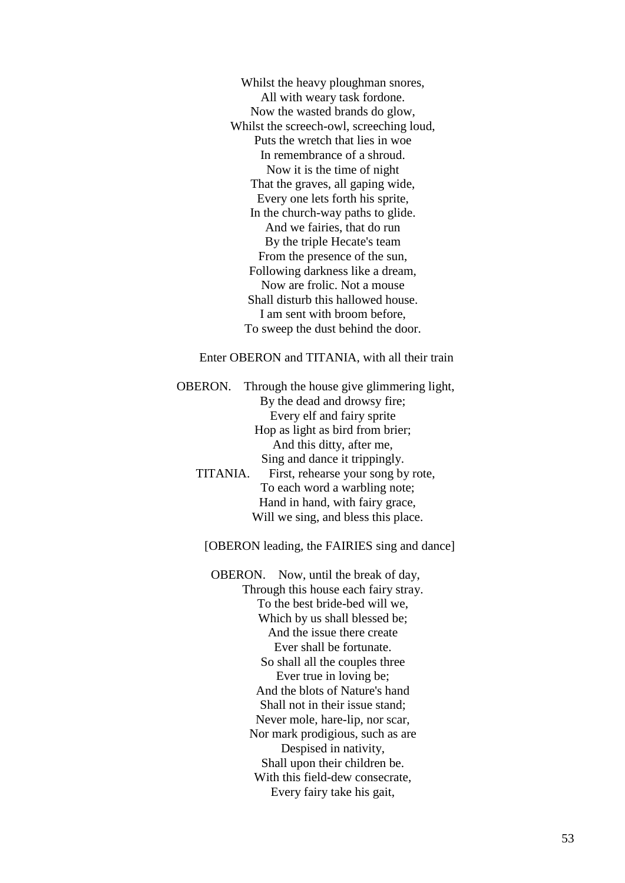Whilst the heavy ploughman snores, All with weary task fordone. Now the wasted brands do glow, Whilst the screech-owl, screeching loud, Puts the wretch that lies in woe In remembrance of a shroud. Now it is the time of night That the graves, all gaping wide, Every one lets forth his sprite, In the church-way paths to glide. And we fairies, that do run By the triple Hecate's team From the presence of the sun, Following darkness like a dream, Now are frolic. Not a mouse Shall disturb this hallowed house. I am sent with broom before, To sweep the dust behind the door.

Enter OBERON and TITANIA, with all their train

 OBERON. Through the house give glimmering light, By the dead and drowsy fire; Every elf and fairy sprite Hop as light as bird from brier; And this ditty, after me, Sing and dance it trippingly. TITANIA. First, rehearse your song by rote, To each word a warbling note; Hand in hand, with fairy grace,

Will we sing, and bless this place.

[OBERON leading, the FAIRIES sing and dance]

 OBERON. Now, until the break of day, Through this house each fairy stray. To the best bride-bed will we, Which by us shall blessed be; And the issue there create Ever shall be fortunate. So shall all the couples three Ever true in loving be; And the blots of Nature's hand Shall not in their issue stand; Never mole, hare-lip, nor scar, Nor mark prodigious, such as are Despised in nativity, Shall upon their children be. With this field-dew consecrate, Every fairy take his gait,